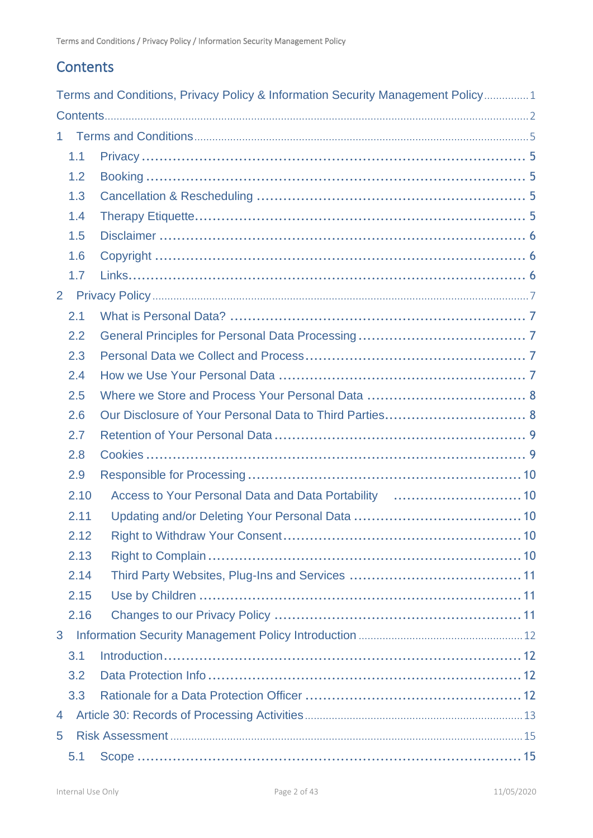## <span id="page-1-0"></span>**Contents**

|                |      | Terms and Conditions, Privacy Policy & Information Security Management Policy1 |  |  |  |
|----------------|------|--------------------------------------------------------------------------------|--|--|--|
|                |      |                                                                                |  |  |  |
|                | 1.   |                                                                                |  |  |  |
|                | 1.1  |                                                                                |  |  |  |
|                | 1.2  |                                                                                |  |  |  |
|                | 1.3  |                                                                                |  |  |  |
|                | 1.4  |                                                                                |  |  |  |
|                | 1.5  |                                                                                |  |  |  |
|                | 1.6  |                                                                                |  |  |  |
|                | 1.7  |                                                                                |  |  |  |
| $\overline{2}$ |      |                                                                                |  |  |  |
|                | 2.1  |                                                                                |  |  |  |
|                | 2.2  |                                                                                |  |  |  |
|                | 2.3  |                                                                                |  |  |  |
|                | 2.4  |                                                                                |  |  |  |
|                | 2.5  |                                                                                |  |  |  |
|                | 2.6  |                                                                                |  |  |  |
|                | 2.7  |                                                                                |  |  |  |
|                | 2.8  |                                                                                |  |  |  |
|                | 2.9  |                                                                                |  |  |  |
|                | 2.10 | Access to Your Personal Data and Data Portability  10                          |  |  |  |
|                | 2.11 |                                                                                |  |  |  |
|                | 2.12 |                                                                                |  |  |  |
|                | 2.13 |                                                                                |  |  |  |
|                | 2.14 |                                                                                |  |  |  |
|                | 2.15 |                                                                                |  |  |  |
|                | 2.16 |                                                                                |  |  |  |
| 3              |      |                                                                                |  |  |  |
|                | 3.1  |                                                                                |  |  |  |
|                | 3.2  |                                                                                |  |  |  |
|                | 3.3  |                                                                                |  |  |  |
| 4              |      |                                                                                |  |  |  |
| 5              |      |                                                                                |  |  |  |
|                | 5.1  |                                                                                |  |  |  |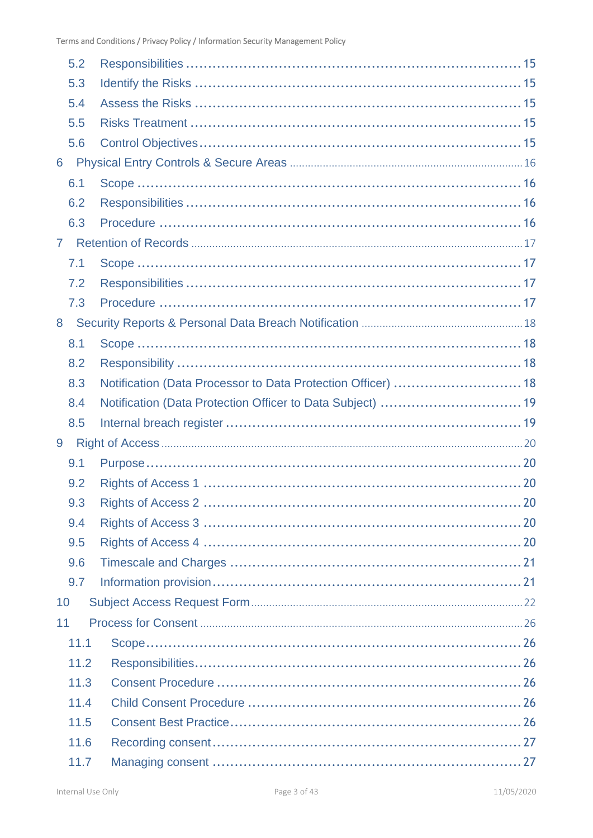|                | 5.2  |                                                              |  |
|----------------|------|--------------------------------------------------------------|--|
|                | 5.3  |                                                              |  |
|                | 5.4  |                                                              |  |
|                | 5.5  |                                                              |  |
|                | 5.6  |                                                              |  |
| 6              |      |                                                              |  |
|                | 6.1  |                                                              |  |
|                | 6.2  |                                                              |  |
|                | 6.3  |                                                              |  |
| 7 <sup>1</sup> |      |                                                              |  |
|                | 7.1  |                                                              |  |
|                | 7.2  |                                                              |  |
|                | 7.3  |                                                              |  |
| 8              |      |                                                              |  |
|                | 8.1  |                                                              |  |
|                | 8.2  |                                                              |  |
|                | 8.3  | Notification (Data Processor to Data Protection Officer)  18 |  |
|                |      |                                                              |  |
|                | 8.4  |                                                              |  |
|                | 8.5  |                                                              |  |
| 9              |      |                                                              |  |
|                | 9.1  |                                                              |  |
|                | 9.2  |                                                              |  |
|                | 9.3  |                                                              |  |
|                | 9.4  |                                                              |  |
|                | 9.5  |                                                              |  |
|                | 9.6  |                                                              |  |
|                | 9.7  |                                                              |  |
| 10             |      |                                                              |  |
| 11             |      |                                                              |  |
|                | 11.1 |                                                              |  |
|                | 11.2 |                                                              |  |
|                | 11.3 |                                                              |  |
|                | 11.4 |                                                              |  |
|                | 11.5 |                                                              |  |
|                | 11.6 |                                                              |  |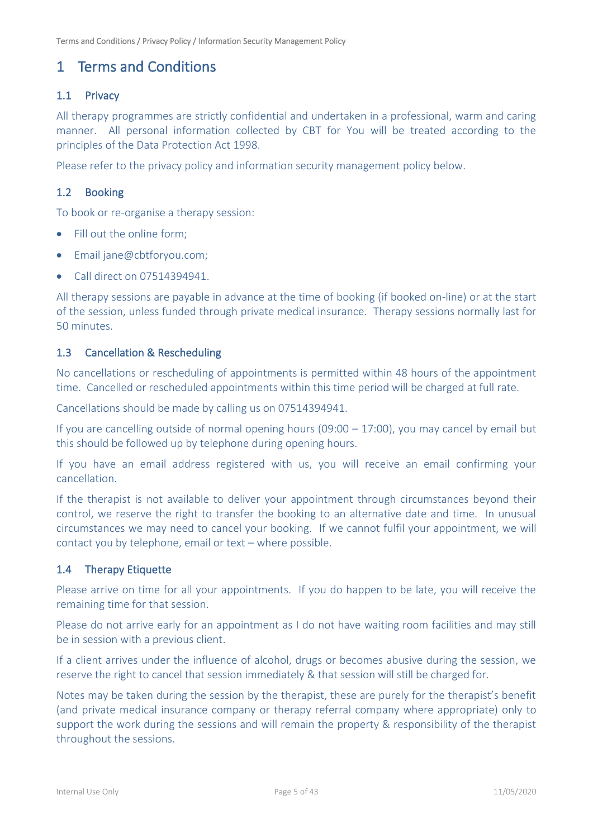## <span id="page-4-0"></span>1 Terms and Conditions

## <span id="page-4-1"></span>1.1 Privacy

All therapy programmes are strictly confidential and undertaken in a professional, warm and caring manner. All personal information collected by CBT for You will be treated according to the principles of the Data Protection Act 1998.

Please refer to the privacy policy and information security management policy below.

## <span id="page-4-2"></span>1.2 Booking

To book or re-organise a therapy session:

- Fill out the online form;
- Email jane@cbtforyou.com;
- Call direct on 07514394941.

All therapy sessions are payable in advance at the time of booking (if booked on-line) or at the start of the session, unless funded through private medical insurance. Therapy sessions normally last for 50 minutes.

### <span id="page-4-3"></span>1.3 Cancellation & Rescheduling

No cancellations or rescheduling of appointments is permitted within 48 hours of the appointment time. Cancelled or rescheduled appointments within this time period will be charged at full rate.

Cancellations should be made by calling us on 07514394941.

If you are cancelling outside of normal opening hours (09:00 – 17:00), you may cancel by email but this should be followed up by telephone during opening hours.

If you have an email address registered with us, you will receive an email confirming your cancellation.

If the therapist is not available to deliver your appointment through circumstances beyond their control, we reserve the right to transfer the booking to an alternative date and time. In unusual circumstances we may need to cancel your booking. If we cannot fulfil your appointment, we will contact you by telephone, email or text – where possible.

## <span id="page-4-4"></span>1.4 Therapy Etiquette

Please arrive on time for all your appointments. If you do happen to be late, you will receive the remaining time for that session.

Please do not arrive early for an appointment as I do not have waiting room facilities and may still be in session with a previous client.

If a client arrives under the influence of alcohol, drugs or becomes abusive during the session, we reserve the right to cancel that session immediately & that session will still be charged for.

Notes may be taken during the session by the therapist, these are purely for the therapist's benefit (and private medical insurance company or therapy referral company where appropriate) only to support the work during the sessions and will remain the property & responsibility of the therapist throughout the sessions.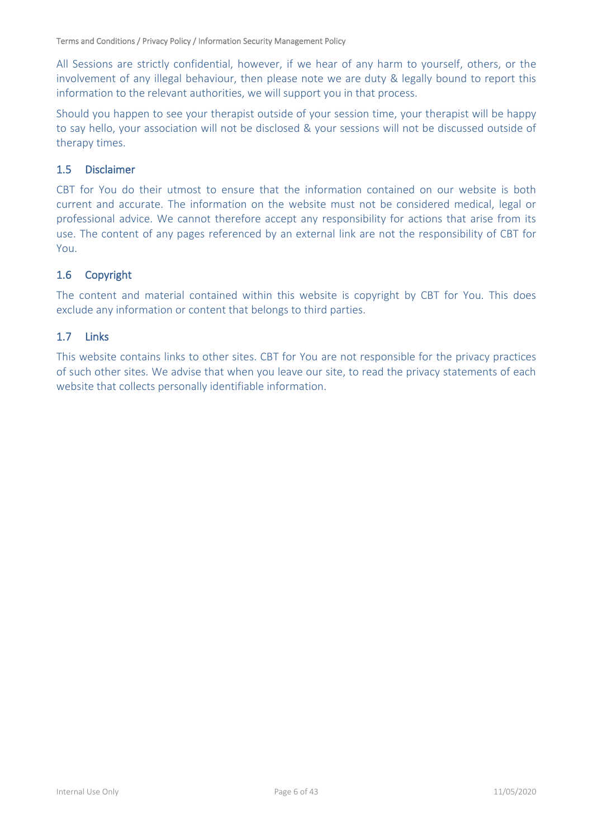All Sessions are strictly confidential, however, if we hear of any harm to yourself, others, or the involvement of any illegal behaviour, then please note we are duty & legally bound to report this information to the relevant authorities, we will support you in that process.

Should you happen to see your therapist outside of your session time, your therapist will be happy to say hello, your association will not be disclosed & your sessions will not be discussed outside of therapy times.

## <span id="page-5-0"></span>1.5 Disclaimer

CBT for You do their utmost to ensure that the information contained on our website is both current and accurate. The information on the website must not be considered medical, legal or professional advice. We cannot therefore accept any responsibility for actions that arise from its use. The content of any pages referenced by an external link are not the responsibility of CBT for You.

## <span id="page-5-1"></span>1.6 Copyright

The content and material contained within this website is copyright by CBT for You. This does exclude any information or content that belongs to third parties.

## <span id="page-5-2"></span>1.7 Links

This website contains links to other sites. CBT for You are not responsible for the privacy practices of such other sites. We advise that when you leave our site, to read the privacy statements of each website that collects personally identifiable information.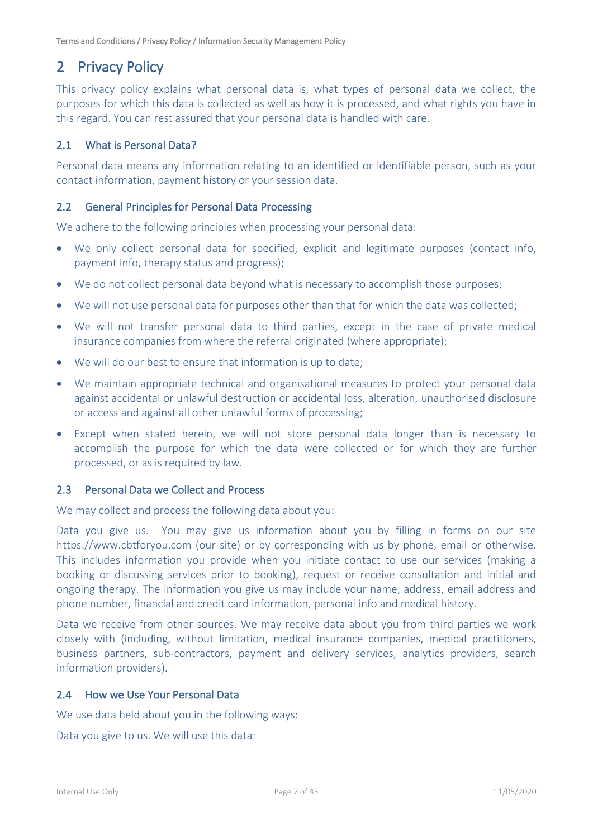## <span id="page-6-0"></span>2 Privacy Policy

This privacy policy explains what personal data is, what types of personal data we collect, the purposes for which this data is collected as well as how it is processed, and what rights you have in this regard. You can rest assured that your personal data is handled with care.

## <span id="page-6-1"></span>2.1 What is Personal Data?

Personal data means any information relating to an identified or identifiable person, such as your contact information, payment history or your session data.

#### <span id="page-6-2"></span>2.2 General Principles for Personal Data Processing

We adhere to the following principles when processing your personal data:

- We only collect personal data for specified, explicit and legitimate purposes (contact info, payment info, therapy status and progress);
- We do not collect personal data beyond what is necessary to accomplish those purposes;
- We will not use personal data for purposes other than that for which the data was collected;
- We will not transfer personal data to third parties, except in the case of private medical insurance companies from where the referral originated (where appropriate);
- We will do our best to ensure that information is up to date;
- We maintain appropriate technical and organisational measures to protect your personal data against accidental or unlawful destruction or accidental loss, alteration, unauthorised disclosure or access and against all other unlawful forms of processing;
- Except when stated herein, we will not store personal data longer than is necessary to accomplish the purpose for which the data were collected or for which they are further processed, or as is required by law.

#### <span id="page-6-3"></span>2.3 Personal Data we Collect and Process

We may collect and process the following data about you:

Data you give us. You may give us information about you by filling in forms on our site https://www.cbtforyou.com (our site) or by corresponding with us by phone, email or otherwise. This includes information you provide when you initiate contact to use our services (making a booking or discussing services prior to booking), request or receive consultation and initial and ongoing therapy. The information you give us may include your name, address, email address and phone number, financial and credit card information, personal info and medical history.

Data we receive from other sources. We may receive data about you from third parties we work closely with (including, without limitation, medical insurance companies, medical practitioners, business partners, sub-contractors, payment and delivery services, analytics providers, search information providers).

#### <span id="page-6-4"></span>2.4 How we Use Your Personal Data

We use data held about you in the following ways:

Data you give to us. We will use this data: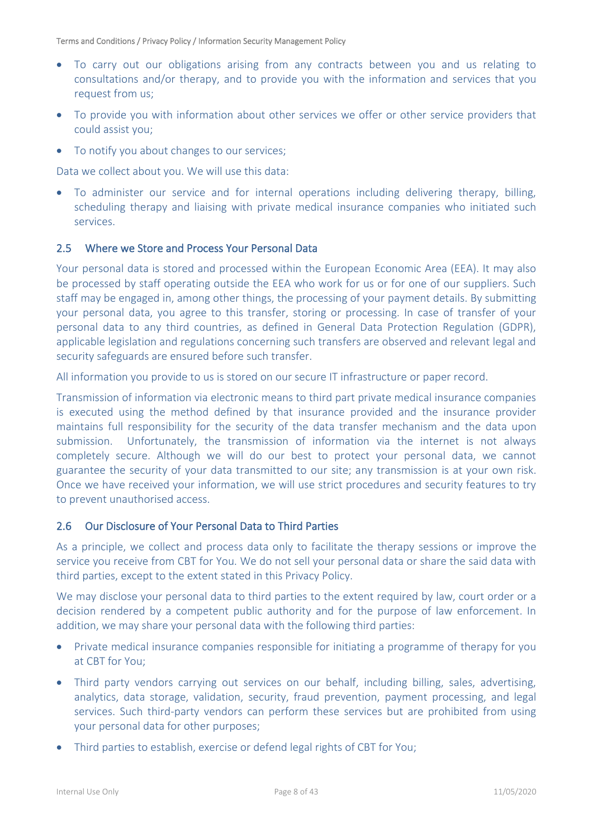- To carry out our obligations arising from any contracts between you and us relating to consultations and/or therapy, and to provide you with the information and services that you request from us;
- To provide you with information about other services we offer or other service providers that could assist you;
- To notify you about changes to our services;

Data we collect about you. We will use this data:

• To administer our service and for internal operations including delivering therapy, billing, scheduling therapy and liaising with private medical insurance companies who initiated such services.

#### <span id="page-7-0"></span>2.5 Where we Store and Process Your Personal Data

Your personal data is stored and processed within the European Economic Area (EEA). It may also be processed by staff operating outside the EEA who work for us or for one of our suppliers. Such staff may be engaged in, among other things, the processing of your payment details. By submitting your personal data, you agree to this transfer, storing or processing. In case of transfer of your personal data to any third countries, as defined in General Data Protection Regulation (GDPR), applicable legislation and regulations concerning such transfers are observed and relevant legal and security safeguards are ensured before such transfer.

All information you provide to us is stored on our secure IT infrastructure or paper record.

Transmission of information via electronic means to third part private medical insurance companies is executed using the method defined by that insurance provided and the insurance provider maintains full responsibility for the security of the data transfer mechanism and the data upon submission. Unfortunately, the transmission of information via the internet is not always completely secure. Although we will do our best to protect your personal data, we cannot guarantee the security of your data transmitted to our site; any transmission is at your own risk. Once we have received your information, we will use strict procedures and security features to try to prevent unauthorised access.

#### <span id="page-7-1"></span>2.6 Our Disclosure of Your Personal Data to Third Parties

As a principle, we collect and process data only to facilitate the therapy sessions or improve the service you receive from CBT for You. We do not sell your personal data or share the said data with third parties, except to the extent stated in this Privacy Policy.

We may disclose your personal data to third parties to the extent required by law, court order or a decision rendered by a competent public authority and for the purpose of law enforcement. In addition, we may share your personal data with the following third parties:

- Private medical insurance companies responsible for initiating a programme of therapy for you at CBT for You;
- Third party vendors carrying out services on our behalf, including billing, sales, advertising, analytics, data storage, validation, security, fraud prevention, payment processing, and legal services. Such third-party vendors can perform these services but are prohibited from using your personal data for other purposes;
- Third parties to establish, exercise or defend legal rights of CBT for You;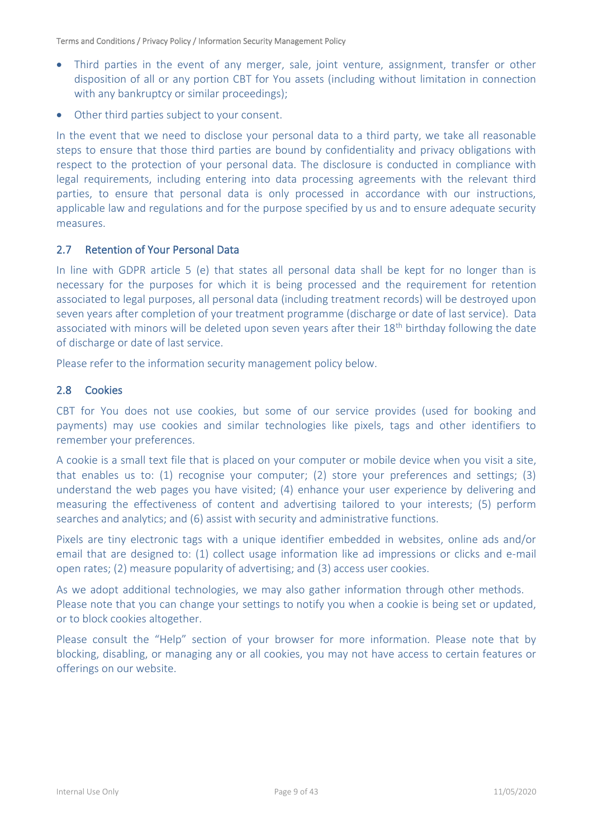- Third parties in the event of any merger, sale, joint venture, assignment, transfer or other disposition of all or any portion CBT for You assets (including without limitation in connection with any bankruptcy or similar proceedings);
- Other third parties subject to your consent.

In the event that we need to disclose your personal data to a third party, we take all reasonable steps to ensure that those third parties are bound by confidentiality and privacy obligations with respect to the protection of your personal data. The disclosure is conducted in compliance with legal requirements, including entering into data processing agreements with the relevant third parties, to ensure that personal data is only processed in accordance with our instructions, applicable law and regulations and for the purpose specified by us and to ensure adequate security measures.

### <span id="page-8-0"></span>2.7 Retention of Your Personal Data

In line with GDPR article 5 (e) that states all personal data shall be kept for no longer than is necessary for the purposes for which it is being processed and the requirement for retention associated to legal purposes, all personal data (including treatment records) will be destroyed upon seven years after completion of your treatment programme (discharge or date of last service). Data associated with minors will be deleted upon seven years after their 18<sup>th</sup> birthday following the date of discharge or date of last service.

Please refer to the information security management policy below.

### <span id="page-8-1"></span>2.8 Cookies

CBT for You does not use cookies, but some of our service provides (used for booking and payments) may use cookies and similar technologies like pixels, tags and other identifiers to remember your preferences.

A cookie is a small text file that is placed on your computer or mobile device when you visit a site, that enables us to: (1) recognise your computer; (2) store your preferences and settings; (3) understand the web pages you have visited; (4) enhance your user experience by delivering and measuring the effectiveness of content and advertising tailored to your interests; (5) perform searches and analytics; and (6) assist with security and administrative functions.

Pixels are tiny electronic tags with a unique identifier embedded in websites, online ads and/or email that are designed to: (1) collect usage information like ad impressions or clicks and e-mail open rates; (2) measure popularity of advertising; and (3) access user cookies.

As we adopt additional technologies, we may also gather information through other methods. Please note that you can change your settings to notify you when a cookie is being set or updated, or to block cookies altogether.

Please consult the "Help" section of your browser for more information. Please note that by blocking, disabling, or managing any or all cookies, you may not have access to certain features or offerings on our website.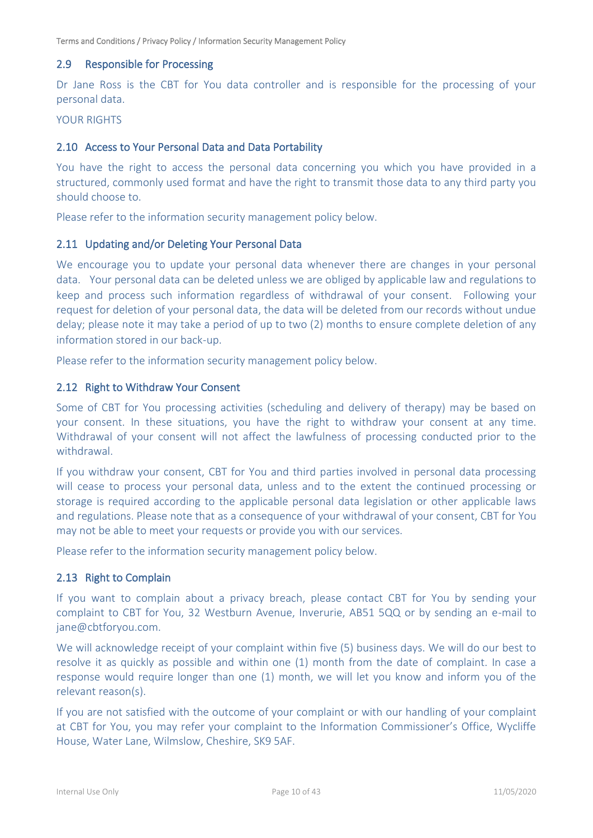### <span id="page-9-0"></span>2.9 Responsible for Processing

Dr Jane Ross is the CBT for You data controller and is responsible for the processing of your personal data.

#### YOUR RIGHTS

#### <span id="page-9-1"></span>2.10 Access to Your Personal Data and Data Portability

You have the right to access the personal data concerning you which you have provided in a structured, commonly used format and have the right to transmit those data to any third party you should choose to.

Please refer to the information security management policy below.

#### <span id="page-9-2"></span>2.11 Updating and/or Deleting Your Personal Data

We encourage you to update your personal data whenever there are changes in your personal data. Your personal data can be deleted unless we are obliged by applicable law and regulations to keep and process such information regardless of withdrawal of your consent. Following your request for deletion of your personal data, the data will be deleted from our records without undue delay; please note it may take a period of up to two (2) months to ensure complete deletion of any information stored in our back-up.

Please refer to the information security management policy below.

#### <span id="page-9-3"></span>2.12 Right to Withdraw Your Consent

Some of CBT for You processing activities (scheduling and delivery of therapy) may be based on your consent. In these situations, you have the right to withdraw your consent at any time. Withdrawal of your consent will not affect the lawfulness of processing conducted prior to the withdrawal.

If you withdraw your consent, CBT for You and third parties involved in personal data processing will cease to process your personal data, unless and to the extent the continued processing or storage is required according to the applicable personal data legislation or other applicable laws and regulations. Please note that as a consequence of your withdrawal of your consent, CBT for You may not be able to meet your requests or provide you with our services.

Please refer to the information security management policy below.

#### <span id="page-9-4"></span>2.13 Right to Complain

If you want to complain about a privacy breach, please contact CBT for You by sending your complaint to CBT for You, 32 Westburn Avenue, Inverurie, AB51 5QQ or by sending an e-mail to jane@cbtforyou.com.

We will acknowledge receipt of your complaint within five (5) business days. We will do our best to resolve it as quickly as possible and within one (1) month from the date of complaint. In case a response would require longer than one (1) month, we will let you know and inform you of the relevant reason(s).

If you are not satisfied with the outcome of your complaint or with our handling of your complaint at CBT for You, you may refer your complaint to the Information Commissioner's Office, Wycliffe House, Water Lane, Wilmslow, Cheshire, SK9 5AF.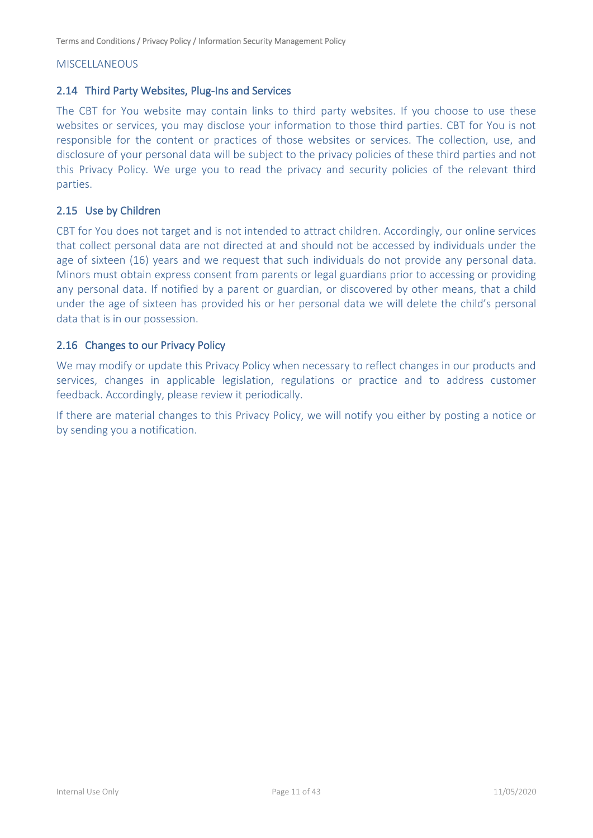#### **MISCELLANEOUS**

#### <span id="page-10-0"></span>2.14 Third Party Websites, Plug-Ins and Services

The CBT for You website may contain links to third party websites. If you choose to use these websites or services, you may disclose your information to those third parties. CBT for You is not responsible for the content or practices of those websites or services. The collection, use, and disclosure of your personal data will be subject to the privacy policies of these third parties and not this Privacy Policy. We urge you to read the privacy and security policies of the relevant third parties.

### <span id="page-10-1"></span>2.15 Use by Children

CBT for You does not target and is not intended to attract children. Accordingly, our online services that collect personal data are not directed at and should not be accessed by individuals under the age of sixteen (16) years and we request that such individuals do not provide any personal data. Minors must obtain express consent from parents or legal guardians prior to accessing or providing any personal data. If notified by a parent or guardian, or discovered by other means, that a child under the age of sixteen has provided his or her personal data we will delete the child's personal data that is in our possession.

#### <span id="page-10-2"></span>2.16 Changes to our Privacy Policy

We may modify or update this Privacy Policy when necessary to reflect changes in our products and services, changes in applicable legislation, regulations or practice and to address customer feedback. Accordingly, please review it periodically.

If there are material changes to this Privacy Policy, we will notify you either by posting a notice or by sending you a notification.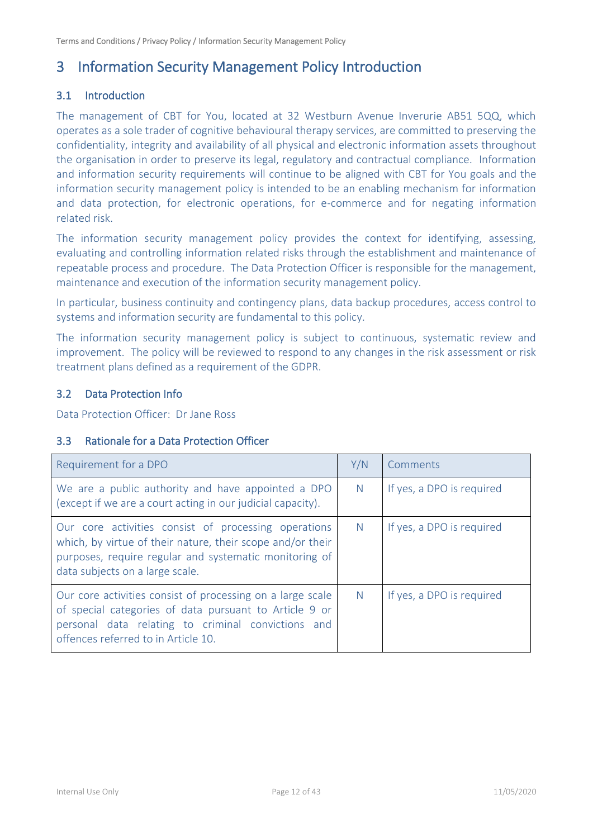## <span id="page-11-0"></span>3 Information Security Management Policy Introduction

## <span id="page-11-1"></span>3.1 Introduction

The management of CBT for You, located at 32 Westburn Avenue Inverurie AB51 5QQ, which operates as a sole trader of cognitive behavioural therapy services, are committed to preserving the confidentiality, integrity and availability of all physical and electronic information assets throughout the organisation in order to preserve its legal, regulatory and contractual compliance. Information and information security requirements will continue to be aligned with CBT for You goals and the information security management policy is intended to be an enabling mechanism for information and data protection, for electronic operations, for e-commerce and for negating information related risk.

The information security management policy provides the context for identifying, assessing, evaluating and controlling information related risks through the establishment and maintenance of repeatable process and procedure. The Data Protection Officer is responsible for the management, maintenance and execution of the information security management policy.

In particular, business continuity and contingency plans, data backup procedures, access control to systems and information security are fundamental to this policy.

The information security management policy is subject to continuous, systematic review and improvement. The policy will be reviewed to respond to any changes in the risk assessment or risk treatment plans defined as a requirement of the GDPR.

### <span id="page-11-2"></span>3.2 Data Protection Info

Data Protection Officer: Dr Jane Ross

### <span id="page-11-3"></span>3.3 Rationale for a Data Protection Officer

| Requirement for a DPO                                                                                                                                                                                             | Y/N          | Comments                  |
|-------------------------------------------------------------------------------------------------------------------------------------------------------------------------------------------------------------------|--------------|---------------------------|
| We are a public authority and have appointed a DPO<br>(except if we are a court acting in our judicial capacity).                                                                                                 | <sup>N</sup> | If yes, a DPO is required |
| Our core activities consist of processing operations<br>which, by virtue of their nature, their scope and/or their<br>purposes, require regular and systematic monitoring of<br>data subjects on a large scale.   | <sup>N</sup> | If yes, a DPO is required |
| Our core activities consist of processing on a large scale<br>of special categories of data pursuant to Article 9 or<br>personal data relating to criminal convictions and<br>offences referred to in Article 10. | <sup>N</sup> | If yes, a DPO is required |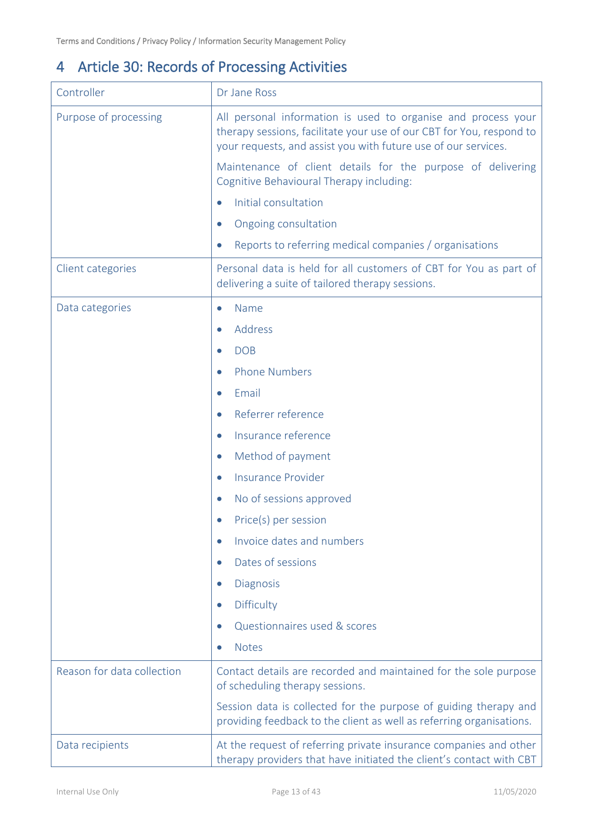# <span id="page-12-0"></span>4 Article 30: Records of Processing Activities

| Controller                 | Dr Jane Ross                                                                                                                                                                                            |  |
|----------------------------|---------------------------------------------------------------------------------------------------------------------------------------------------------------------------------------------------------|--|
| Purpose of processing      | All personal information is used to organise and process your<br>therapy sessions, facilitate your use of our CBT for You, respond to<br>your requests, and assist you with future use of our services. |  |
|                            | Maintenance of client details for the purpose of delivering<br>Cognitive Behavioural Therapy including:                                                                                                 |  |
|                            | Initial consultation                                                                                                                                                                                    |  |
|                            | Ongoing consultation<br>$\bullet$                                                                                                                                                                       |  |
|                            | Reports to referring medical companies / organisations                                                                                                                                                  |  |
| Client categories          | Personal data is held for all customers of CBT for You as part of<br>delivering a suite of tailored therapy sessions.                                                                                   |  |
| Data categories            | Name<br>$\bullet$                                                                                                                                                                                       |  |
|                            | Address                                                                                                                                                                                                 |  |
|                            | <b>DOB</b>                                                                                                                                                                                              |  |
|                            | <b>Phone Numbers</b>                                                                                                                                                                                    |  |
|                            | Email                                                                                                                                                                                                   |  |
|                            | Referrer reference<br>$\bullet$                                                                                                                                                                         |  |
|                            | Insurance reference<br>$\bullet$                                                                                                                                                                        |  |
|                            | Method of payment<br>$\bullet$                                                                                                                                                                          |  |
|                            | <b>Insurance Provider</b>                                                                                                                                                                               |  |
|                            | No of sessions approved<br>$\bullet$                                                                                                                                                                    |  |
|                            | Price(s) per session                                                                                                                                                                                    |  |
|                            | Invoice dates and numbers                                                                                                                                                                               |  |
|                            | Dates of sessions                                                                                                                                                                                       |  |
|                            | <b>Diagnosis</b><br>$\bullet$                                                                                                                                                                           |  |
|                            | Difficulty<br>$\bullet$                                                                                                                                                                                 |  |
|                            | Questionnaires used & scores<br>$\bullet$                                                                                                                                                               |  |
|                            | <b>Notes</b>                                                                                                                                                                                            |  |
| Reason for data collection | Contact details are recorded and maintained for the sole purpose<br>of scheduling therapy sessions.                                                                                                     |  |
|                            | Session data is collected for the purpose of guiding therapy and<br>providing feedback to the client as well as referring organisations.                                                                |  |
| Data recipients            | At the request of referring private insurance companies and other<br>therapy providers that have initiated the client's contact with CBT                                                                |  |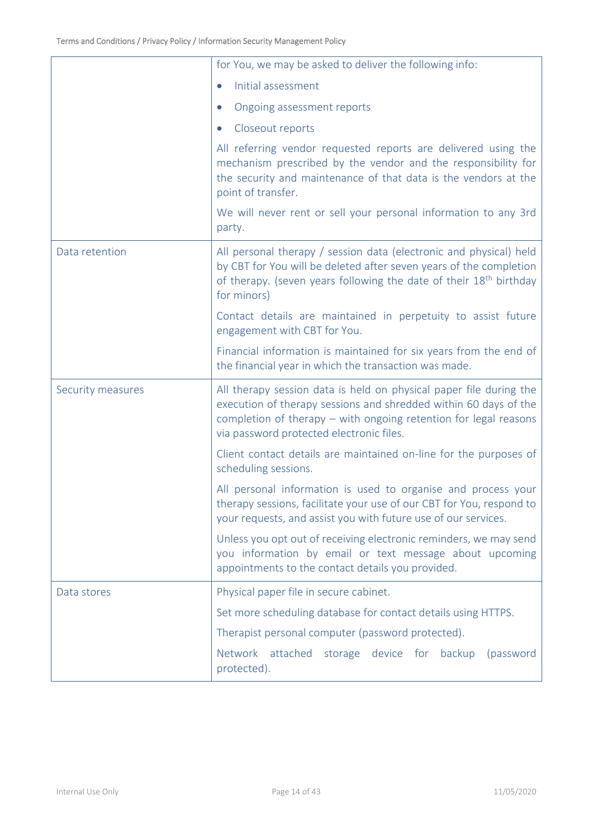|                   | for You, we may be asked to deliver the following info:                                                                                                                                                                                                  |
|-------------------|----------------------------------------------------------------------------------------------------------------------------------------------------------------------------------------------------------------------------------------------------------|
|                   | Initial assessment<br>$\bullet$                                                                                                                                                                                                                          |
|                   | Ongoing assessment reports<br>$\bullet$                                                                                                                                                                                                                  |
|                   | Closeout reports<br>$\bullet$                                                                                                                                                                                                                            |
|                   | All referring vendor requested reports are delivered using the<br>mechanism prescribed by the vendor and the responsibility for<br>the security and maintenance of that data is the vendors at the<br>point of transfer.                                 |
|                   | We will never rent or sell your personal information to any 3rd<br>party.                                                                                                                                                                                |
| Data retention    | All personal therapy / session data (electronic and physical) held<br>by CBT for You will be deleted after seven years of the completion<br>of therapy. (seven years following the date of their 18 <sup>th</sup> birthday<br>for minors)                |
|                   | Contact details are maintained in perpetuity to assist future<br>engagement with CBT for You.                                                                                                                                                            |
|                   | Financial information is maintained for six years from the end of<br>the financial year in which the transaction was made.                                                                                                                               |
| Security measures | All therapy session data is held on physical paper file during the<br>execution of therapy sessions and shredded within 60 days of the<br>completion of therapy $-$ with ongoing retention for legal reasons<br>via password protected electronic files. |
|                   | Client contact details are maintained on-line for the purposes of<br>scheduling sessions.                                                                                                                                                                |
|                   | All personal information is used to organise and process your<br>therapy sessions, facilitate your use of our CBT for You, respond to<br>your requests, and assist you with future use of our services.                                                  |
|                   | Unless you opt out of receiving electronic reminders, we may send<br>you information by email or text message about upcoming<br>appointments to the contact details you provided.                                                                        |
| Data stores       | Physical paper file in secure cabinet.                                                                                                                                                                                                                   |
|                   | Set more scheduling database for contact details using HTTPS.                                                                                                                                                                                            |
|                   | Therapist personal computer (password protected).                                                                                                                                                                                                        |
|                   | Network attached storage device for<br>backup<br>(password<br>protected).                                                                                                                                                                                |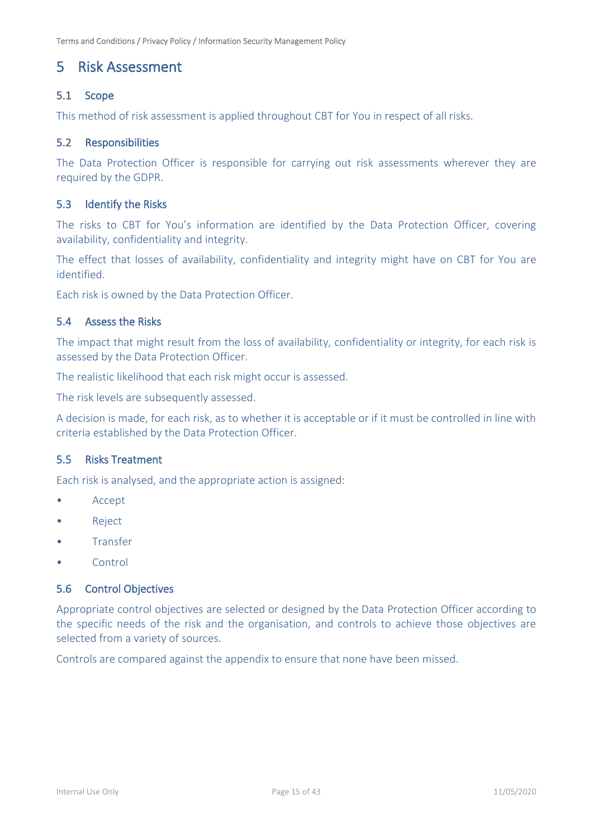## <span id="page-14-0"></span>5 Risk Assessment

## <span id="page-14-1"></span>5.1 Scope

This method of risk assessment is applied throughout CBT for You in respect of all risks.

## <span id="page-14-2"></span>5.2 Responsibilities

The Data Protection Officer is responsible for carrying out risk assessments wherever they are required by the GDPR.

## <span id="page-14-3"></span>5.3 Identify the Risks

The risks to CBT for You's information are identified by the Data Protection Officer, covering availability, confidentiality and integrity.

The effect that losses of availability, confidentiality and integrity might have on CBT for You are identified.

Each risk is owned by the Data Protection Officer.

### <span id="page-14-4"></span>5.4 Assess the Risks

The impact that might result from the loss of availability, confidentiality or integrity, for each risk is assessed by the Data Protection Officer.

The realistic likelihood that each risk might occur is assessed.

The risk levels are subsequently assessed.

A decision is made, for each risk, as to whether it is acceptable or if it must be controlled in line with criteria established by the Data Protection Officer.

#### <span id="page-14-5"></span>5.5 Risks Treatment

Each risk is analysed, and the appropriate action is assigned:

- Accept
- Reject
- Transfer
- Control

## <span id="page-14-6"></span>5.6 Control Objectives

Appropriate control objectives are selected or designed by the Data Protection Officer according to the specific needs of the risk and the organisation, and controls to achieve those objectives are selected from a variety of sources.

Controls are compared against the appendix to ensure that none have been missed.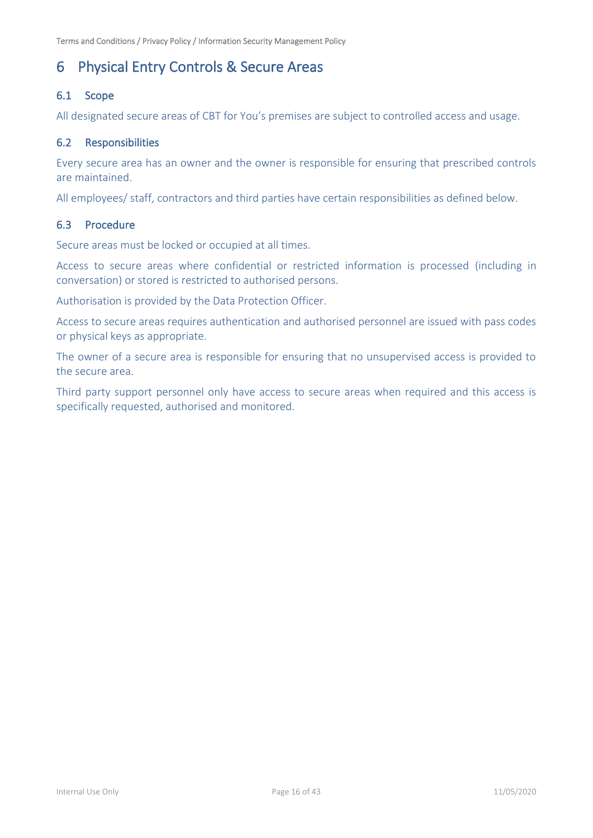## <span id="page-15-0"></span>6 Physical Entry Controls & Secure Areas

## <span id="page-15-1"></span>6.1 Scope

All designated secure areas of CBT for You's premises are subject to controlled access and usage.

## <span id="page-15-2"></span>6.2 Responsibilities

Every secure area has an owner and the owner is responsible for ensuring that prescribed controls are maintained.

All employees/ staff, contractors and third parties have certain responsibilities as defined below.

#### <span id="page-15-3"></span>6.3 Procedure

Secure areas must be locked or occupied at all times.

Access to secure areas where confidential or restricted information is processed (including in conversation) or stored is restricted to authorised persons.

Authorisation is provided by the Data Protection Officer.

Access to secure areas requires authentication and authorised personnel are issued with pass codes or physical keys as appropriate.

The owner of a secure area is responsible for ensuring that no unsupervised access is provided to the secure area.

Third party support personnel only have access to secure areas when required and this access is specifically requested, authorised and monitored.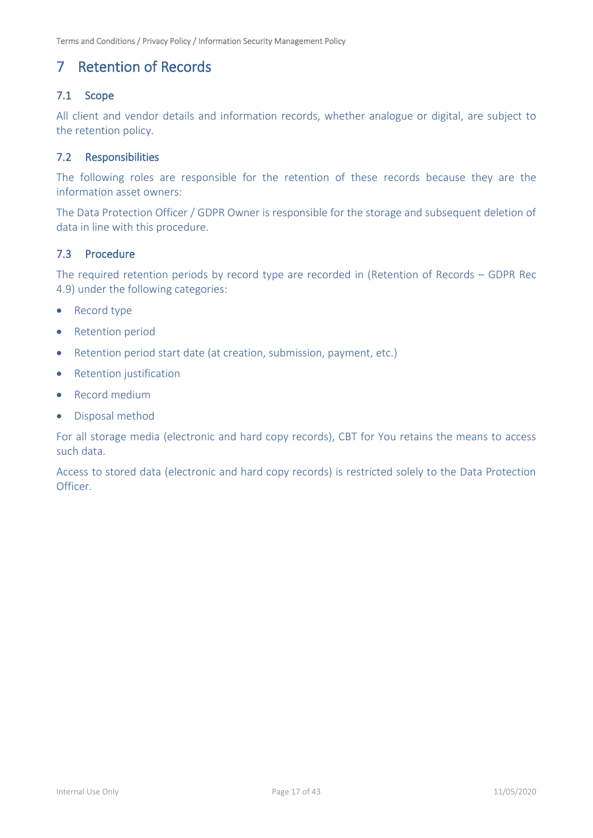## <span id="page-16-0"></span>7 Retention of Records

## <span id="page-16-1"></span>7.1 Scope

All client and vendor details and information records, whether analogue or digital, are subject to the retention policy.

## <span id="page-16-2"></span>7.2 Responsibilities

The following roles are responsible for the retention of these records because they are the information asset owners:

The Data Protection Officer / GDPR Owner is responsible for the storage and subsequent deletion of data in line with this procedure.

## <span id="page-16-3"></span>7.3 Procedure

The required retention periods by record type are recorded in (Retention of Records – GDPR Rec 4.9) under the following categories:

- Record type
- Retention period
- Retention period start date (at creation, submission, payment, etc.)
- Retention justification
- Record medium
- Disposal method

For all storage media (electronic and hard copy records), CBT for You retains the means to access such data.

Access to stored data (electronic and hard copy records) is restricted solely to the Data Protection **Officer**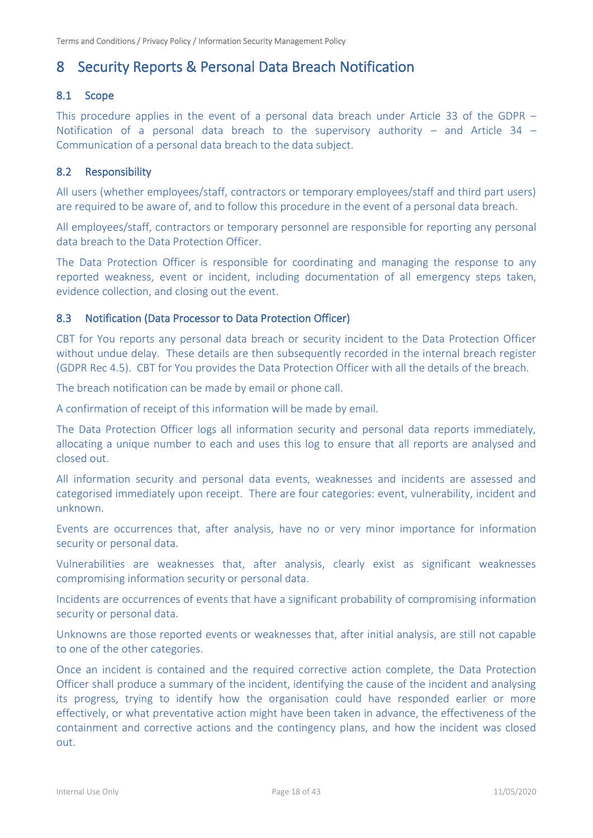## <span id="page-17-0"></span>8 Security Reports & Personal Data Breach Notification

## <span id="page-17-1"></span>8.1 Scope

This procedure applies in the event of a personal data breach under Article 33 of the GDPR  $-$ Notification of a personal data breach to the supervisory authority – and Article 34 – Communication of a personal data breach to the data subject.

## <span id="page-17-2"></span>8.2 Responsibility

All users (whether employees/staff, contractors or temporary employees/staff and third part users) are required to be aware of, and to follow this procedure in the event of a personal data breach.

All employees/staff, contractors or temporary personnel are responsible for reporting any personal data breach to the Data Protection Officer.

The Data Protection Officer is responsible for coordinating and managing the response to any reported weakness, event or incident, including documentation of all emergency steps taken, evidence collection, and closing out the event.

## <span id="page-17-3"></span>8.3 Notification (Data Processor to Data Protection Officer)

CBT for You reports any personal data breach or security incident to the Data Protection Officer without undue delay. These details are then subsequently recorded in the internal breach register (GDPR Rec 4.5). CBT for You provides the Data Protection Officer with all the details of the breach.

The breach notification can be made by email or phone call.

A confirmation of receipt of this information will be made by email.

The Data Protection Officer logs all information security and personal data reports immediately, allocating a unique number to each and uses this log to ensure that all reports are analysed and closed out.

All information security and personal data events, weaknesses and incidents are assessed and categorised immediately upon receipt. There are four categories: event, vulnerability, incident and unknown.

Events are occurrences that, after analysis, have no or very minor importance for information security or personal data.

Vulnerabilities are weaknesses that, after analysis, clearly exist as significant weaknesses compromising information security or personal data.

Incidents are occurrences of events that have a significant probability of compromising information security or personal data.

Unknowns are those reported events or weaknesses that, after initial analysis, are still not capable to one of the other categories.

Once an incident is contained and the required corrective action complete, the Data Protection Officer shall produce a summary of the incident, identifying the cause of the incident and analysing its progress, trying to identify how the organisation could have responded earlier or more effectively, or what preventative action might have been taken in advance, the effectiveness of the containment and corrective actions and the contingency plans, and how the incident was closed out.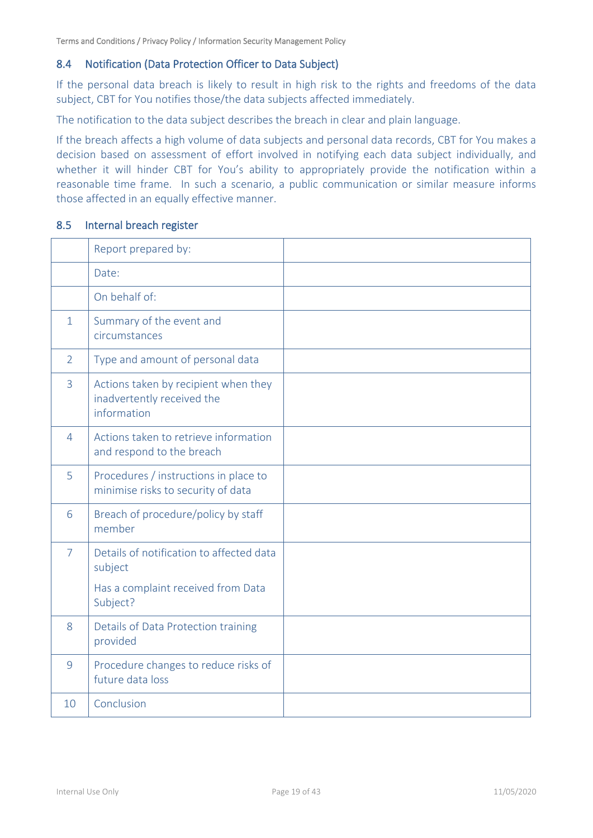## <span id="page-18-0"></span>8.4 Notification (Data Protection Officer to Data Subject)

If the personal data breach is likely to result in high risk to the rights and freedoms of the data subject, CBT for You notifies those/the data subjects affected immediately.

The notification to the data subject describes the breach in clear and plain language.

If the breach affects a high volume of data subjects and personal data records, CBT for You makes a decision based on assessment of effort involved in notifying each data subject individually, and whether it will hinder CBT for You's ability to appropriately provide the notification within a reasonable time frame. In such a scenario, a public communication or similar measure informs those affected in an equally effective manner.

#### <span id="page-18-1"></span>8.5 Internal breach register

|                | Report prepared by:                                                               |  |
|----------------|-----------------------------------------------------------------------------------|--|
|                | Date:                                                                             |  |
|                | On behalf of:                                                                     |  |
| $\mathbf{1}$   | Summary of the event and<br>circumstances                                         |  |
| $\overline{2}$ | Type and amount of personal data                                                  |  |
| 3              | Actions taken by recipient when they<br>inadvertently received the<br>information |  |
| 4              | Actions taken to retrieve information<br>and respond to the breach                |  |
| 5              | Procedures / instructions in place to<br>minimise risks to security of data       |  |
| 6              | Breach of procedure/policy by staff<br>member                                     |  |
| $\overline{7}$ | Details of notification to affected data<br>subject                               |  |
|                | Has a complaint received from Data<br>Subject?                                    |  |
| 8              | Details of Data Protection training<br>provided                                   |  |
| 9              | Procedure changes to reduce risks of<br>future data loss                          |  |
| 10             | Conclusion                                                                        |  |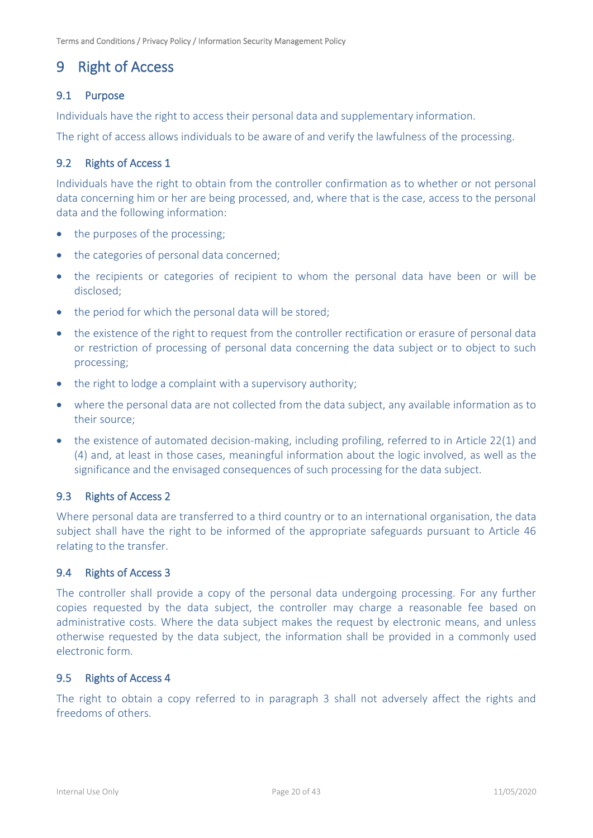## <span id="page-19-0"></span>9 Right of Access

## <span id="page-19-1"></span>9.1 Purpose

Individuals have the right to access their personal data and supplementary information.

The right of access allows individuals to be aware of and verify the lawfulness of the processing.

## <span id="page-19-2"></span>9.2 Rights of Access 1

Individuals have the right to obtain from the controller confirmation as to whether or not personal data concerning him or her are being processed, and, where that is the case, access to the personal data and the following information:

- the purposes of the processing;
- the categories of personal data concerned;
- the recipients or categories of recipient to whom the personal data have been or will be disclosed;
- the period for which the personal data will be stored:
- the existence of the right to request from the controller rectification or erasure of personal data or restriction of processing of personal data concerning the data subject or to object to such processing;
- the right to lodge a complaint with a supervisory authority;
- where the personal data are not collected from the data subject, any available information as to their source;
- the existence of automated decision-making, including profiling, referred to in Article 22(1) and (4) and, at least in those cases, meaningful information about the logic involved, as well as the significance and the envisaged consequences of such processing for the data subject.

## <span id="page-19-3"></span>9.3 Rights of Access 2

Where personal data are transferred to a third country or to an international organisation, the data subject shall have the right to be informed of the appropriate safeguards pursuant to Article 46 relating to the transfer.

#### <span id="page-19-4"></span>9.4 Rights of Access 3

The controller shall provide a copy of the personal data undergoing processing. For any further copies requested by the data subject, the controller may charge a reasonable fee based on administrative costs. Where the data subject makes the request by electronic means, and unless otherwise requested by the data subject, the information shall be provided in a commonly used electronic form.

#### <span id="page-19-5"></span>9.5 Rights of Access 4

The right to obtain a copy referred to in paragraph 3 shall not adversely affect the rights and freedoms of others.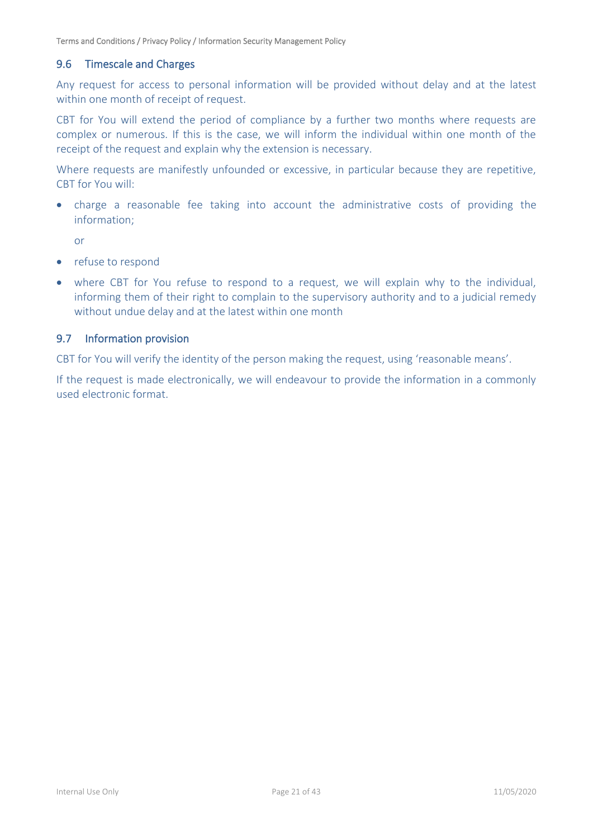### <span id="page-20-0"></span>9.6 Timescale and Charges

Any request for access to personal information will be provided without delay and at the latest within one month of receipt of request.

CBT for You will extend the period of compliance by a further two months where requests are complex or numerous. If this is the case, we will inform the individual within one month of the receipt of the request and explain why the extension is necessary.

Where requests are manifestly unfounded or excessive, in particular because they are repetitive, CBT for You will:

• charge a reasonable fee taking into account the administrative costs of providing the information;

or

- refuse to respond
- where CBT for You refuse to respond to a request, we will explain why to the individual, informing them of their right to complain to the supervisory authority and to a judicial remedy without undue delay and at the latest within one month

#### <span id="page-20-1"></span>9.7 Information provision

CBT for You will verify the identity of the person making the request, using 'reasonable means'.

If the request is made electronically, we will endeavour to provide the information in a commonly used electronic format.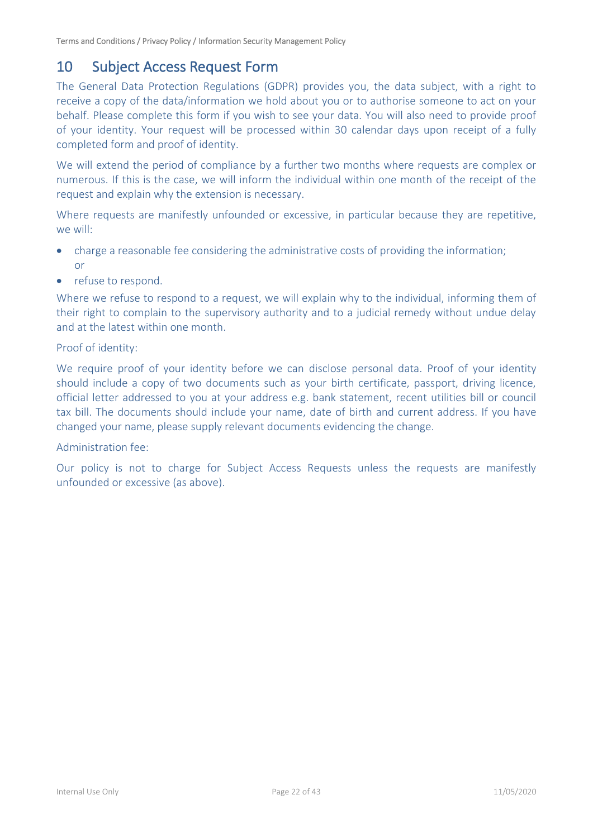## <span id="page-21-0"></span>10 Subject Access Request Form

The General Data Protection Regulations (GDPR) provides you, the data subject, with a right to receive a copy of the data/information we hold about you or to authorise someone to act on your behalf. Please complete this form if you wish to see your data. You will also need to provide proof of your identity. Your request will be processed within 30 calendar days upon receipt of a fully completed form and proof of identity.

We will extend the period of compliance by a further two months where requests are complex or numerous. If this is the case, we will inform the individual within one month of the receipt of the request and explain why the extension is necessary.

Where requests are manifestly unfounded or excessive, in particular because they are repetitive, we will:

- charge a reasonable fee considering the administrative costs of providing the information; or
- refuse to respond.

Where we refuse to respond to a request, we will explain why to the individual, informing them of their right to complain to the supervisory authority and to a judicial remedy without undue delay and at the latest within one month.

#### Proof of identity:

We require proof of your identity before we can disclose personal data. Proof of your identity should include a copy of two documents such as your birth certificate, passport, driving licence, official letter addressed to you at your address e.g. bank statement, recent utilities bill or council tax bill. The documents should include your name, date of birth and current address. If you have changed your name, please supply relevant documents evidencing the change.

#### Administration fee:

Our policy is not to charge for Subject Access Requests unless the requests are manifestly unfounded or excessive (as above).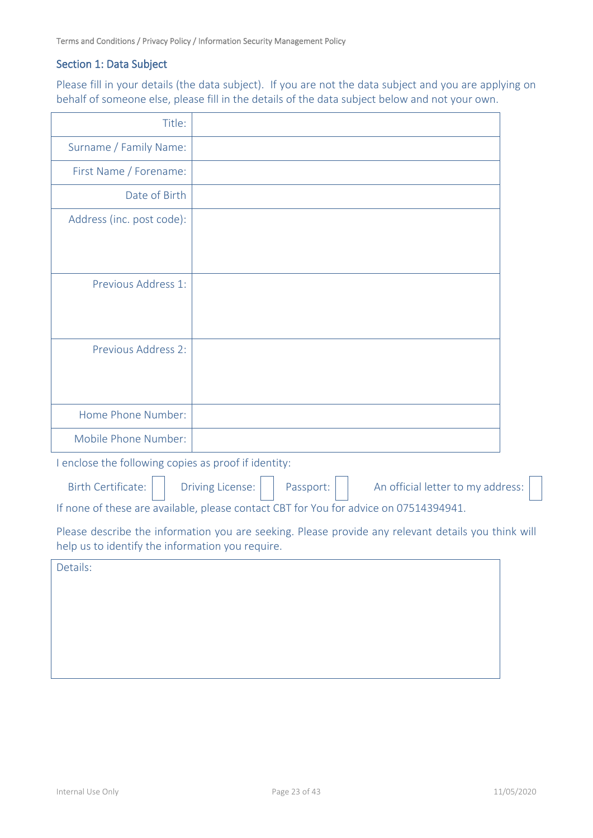## Section 1: Data Subject

Please fill in your details (the data subject). If you are not the data subject and you are applying on behalf of someone else, please fill in the details of the data subject below and not your own.

| Title:                                                                                |                                                                                                     |  |  |
|---------------------------------------------------------------------------------------|-----------------------------------------------------------------------------------------------------|--|--|
| Surname / Family Name:                                                                |                                                                                                     |  |  |
| First Name / Forename:                                                                |                                                                                                     |  |  |
| Date of Birth                                                                         |                                                                                                     |  |  |
| Address (inc. post code):                                                             |                                                                                                     |  |  |
| Previous Address 1:                                                                   |                                                                                                     |  |  |
| Previous Address 2:                                                                   |                                                                                                     |  |  |
| Home Phone Number:                                                                    |                                                                                                     |  |  |
| Mobile Phone Number:                                                                  |                                                                                                     |  |  |
| I enclose the following copies as proof if identity:                                  |                                                                                                     |  |  |
| <b>Birth Certificate:</b>                                                             | Passport:<br>An official letter to my address:<br><b>Driving License:</b>                           |  |  |
| If none of these are available, please contact CBT for You for advice on 07514394941. |                                                                                                     |  |  |
| help us to identify the information you require.                                      | Please describe the information you are seeking. Please provide any relevant details you think will |  |  |
| Details:                                                                              |                                                                                                     |  |  |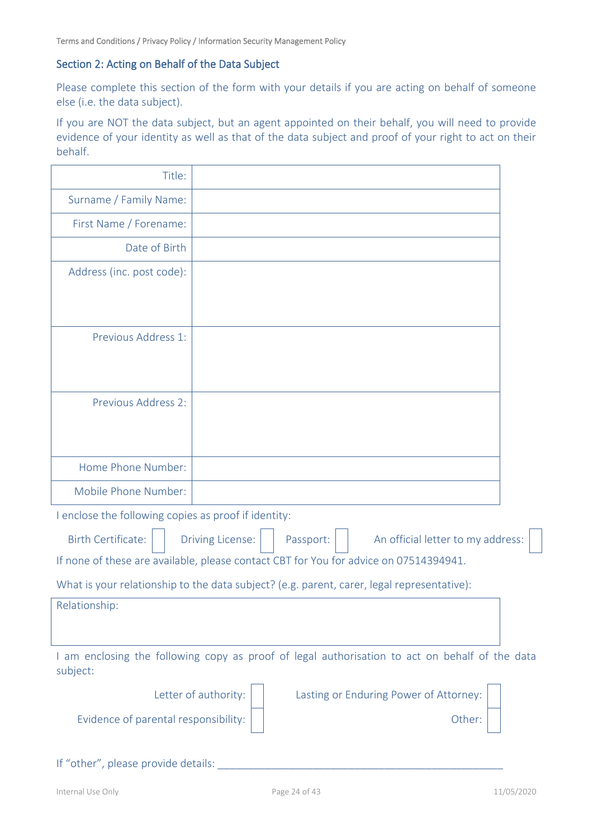#### Section 2: Acting on Behalf of the Data Subject

Please complete this section of the form with your details if you are acting on behalf of someone else (i.e. the data subject).

If you are NOT the data subject, but an agent appointed on their behalf, you will need to provide evidence of your identity as well as that of the data subject and proof of your right to act on their behalf.

| Title:                                               |                                                                                                |  |
|------------------------------------------------------|------------------------------------------------------------------------------------------------|--|
| Surname / Family Name:                               |                                                                                                |  |
| First Name / Forename:                               |                                                                                                |  |
| Date of Birth                                        |                                                                                                |  |
| Address (inc. post code):                            |                                                                                                |  |
| Previous Address 1:                                  |                                                                                                |  |
| Previous Address 2:                                  |                                                                                                |  |
| Home Phone Number:                                   |                                                                                                |  |
| Mobile Phone Number:                                 |                                                                                                |  |
| I enclose the following copies as proof if identity: |                                                                                                |  |
| <b>Birth Certificate:</b>                            | <b>Driving License:</b><br>Passport:<br>An official letter to my address:                      |  |
|                                                      | If none of these are available, please contact CBT for You for advice on 07514394941.          |  |
|                                                      | What is your relationship to the data subject? (e.g. parent, carer, legal representative):     |  |
| Relationship:                                        |                                                                                                |  |
| subject:                                             | I am enclosing the following copy as proof of legal authorisation to act on behalf of the data |  |
|                                                      | Letter of authority:<br>Lasting or Enduring Power of Attorney:                                 |  |
| Evidence of parental responsibility:                 | Other:                                                                                         |  |
|                                                      |                                                                                                |  |

If "other", please provide details: \_\_\_\_\_\_\_\_\_\_\_\_\_\_\_\_\_\_\_\_\_\_\_\_\_\_\_\_\_\_\_\_\_\_\_\_\_\_\_\_\_\_\_\_\_\_\_\_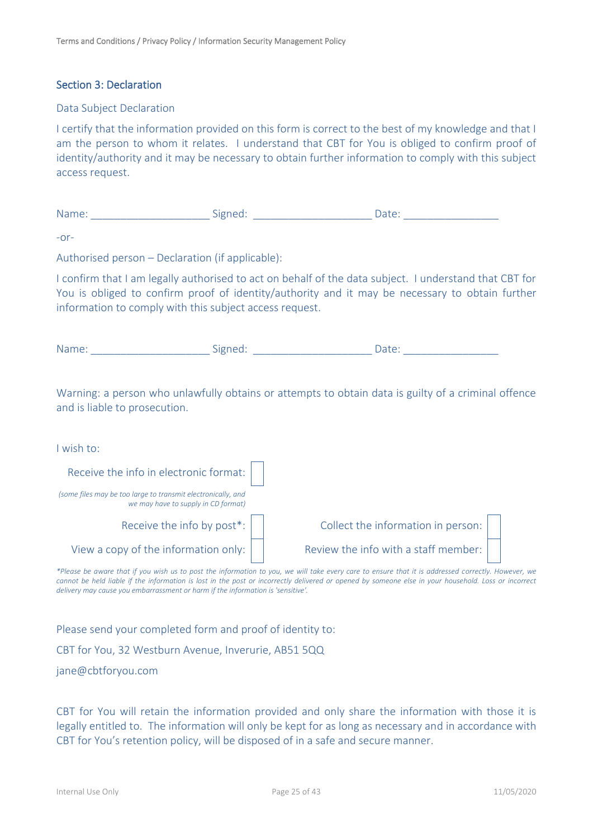#### Section 3: Declaration

#### Data Subject Declaration

I certify that the information provided on this form is correct to the best of my knowledge and that I am the person to whom it relates. I understand that CBT for You is obliged to confirm proof of identity/authority and it may be necessary to obtain further information to comply with this subject access request.

| wan | - |  |
|-----|---|--|
|     |   |  |

 $-$ or-

Authorised person – Declaration (if applicable):

I confirm that I am legally authorised to act on behalf of the data subject. I understand that CBT for You is obliged to confirm proof of identity/authority and it may be necessary to obtain further information to comply with this subject access request.

| . .<br>Na<br>. | . .<br>--- | $\sim$ |
|----------------|------------|--------|
|----------------|------------|--------|

Warning: a person who unlawfully obtains or attempts to obtain data is guilty of a criminal offence and is liable to prosecution.

| I wish to:                                                                                          |                                      |
|-----------------------------------------------------------------------------------------------------|--------------------------------------|
| Receive the info in electronic format:                                                              |                                      |
| (some files may be too large to transmit electronically, and<br>we may have to supply in CD format) |                                      |
| Receive the info by post*:                                                                          | Collect the information in person:   |
| View a copy of the information only:                                                                | Review the info with a staff member: |

*\*Please be aware that if you wish us to post the information to you, we will take every care to ensure that it is addressed correctly. However, we*  cannot be held liable if the information is lost in the post or incorrectly delivered or opened by someone else in your household. Loss or incorrect *delivery may cause you embarrassment or harm if the information is 'sensitive'.*

Please send your completed form and proof of identity to:

CBT for You, 32 Westburn Avenue, Inverurie, AB51 5QQ

jane@cbtforyou.com

CBT for You will retain the information provided and only share the information with those it is legally entitled to. The information will only be kept for as long as necessary and in accordance with CBT for You's retention policy, will be disposed of in a safe and secure manner.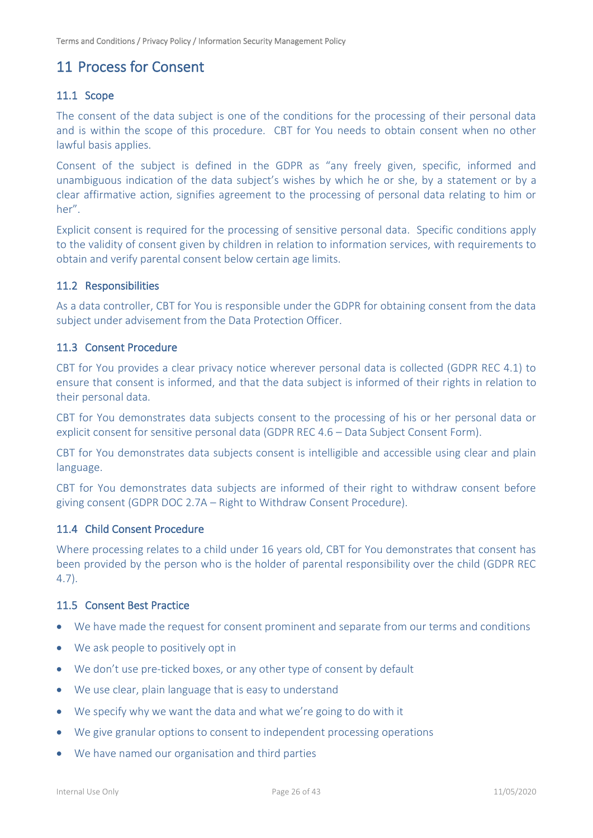## <span id="page-25-0"></span>11 Process for Consent

## <span id="page-25-1"></span>11.1 Scope

The consent of the data subject is one of the conditions for the processing of their personal data and is within the scope of this procedure. CBT for You needs to obtain consent when no other lawful basis applies.

Consent of the subject is defined in the GDPR as "any freely given, specific, informed and unambiguous indication of the data subject's wishes by which he or she, by a statement or by a clear affirmative action, signifies agreement to the processing of personal data relating to him or her".

Explicit consent is required for the processing of sensitive personal data. Specific conditions apply to the validity of consent given by children in relation to information services, with requirements to obtain and verify parental consent below certain age limits.

### <span id="page-25-2"></span>11.2 Responsibilities

As a data controller, CBT for You is responsible under the GDPR for obtaining consent from the data subject under advisement from the Data Protection Officer.

#### <span id="page-25-3"></span>11.3 Consent Procedure

CBT for You provides a clear privacy notice wherever personal data is collected (GDPR REC 4.1) to ensure that consent is informed, and that the data subject is informed of their rights in relation to their personal data.

CBT for You demonstrates data subjects consent to the processing of his or her personal data or explicit consent for sensitive personal data (GDPR REC 4.6 – Data Subject Consent Form).

CBT for You demonstrates data subjects consent is intelligible and accessible using clear and plain language.

CBT for You demonstrates data subjects are informed of their right to withdraw consent before giving consent (GDPR DOC 2.7A – Right to Withdraw Consent Procedure).

## <span id="page-25-4"></span>11.4 Child Consent Procedure

Where processing relates to a child under 16 years old, CBT for You demonstrates that consent has been provided by the person who is the holder of parental responsibility over the child (GDPR REC 4.7).

## <span id="page-25-5"></span>11.5 Consent Best Practice

- We have made the request for consent prominent and separate from our terms and conditions
- We ask people to positively opt in
- We don't use pre-ticked boxes, or any other type of consent by default
- We use clear, plain language that is easy to understand
- We specify why we want the data and what we're going to do with it
- We give granular options to consent to independent processing operations
- We have named our organisation and third parties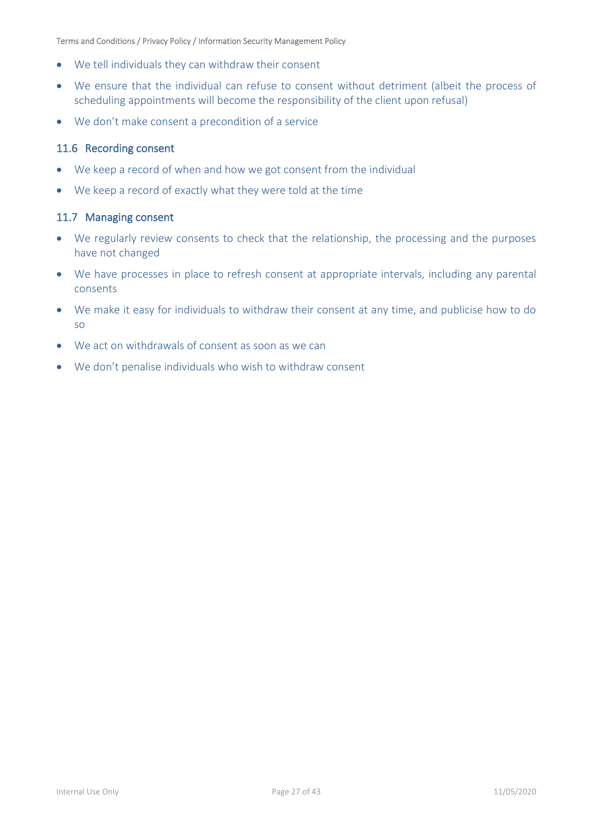- We tell individuals they can withdraw their consent
- We ensure that the individual can refuse to consent without detriment (albeit the process of scheduling appointments will become the responsibility of the client upon refusal)
- We don't make consent a precondition of a service

## <span id="page-26-0"></span>11.6 Recording consent

- We keep a record of when and how we got consent from the individual
- We keep a record of exactly what they were told at the time

#### <span id="page-26-1"></span>11.7 Managing consent

- We regularly review consents to check that the relationship, the processing and the purposes have not changed
- We have processes in place to refresh consent at appropriate intervals, including any parental consents
- We make it easy for individuals to withdraw their consent at any time, and publicise how to do so
- We act on withdrawals of consent as soon as we can
- We don't penalise individuals who wish to withdraw consent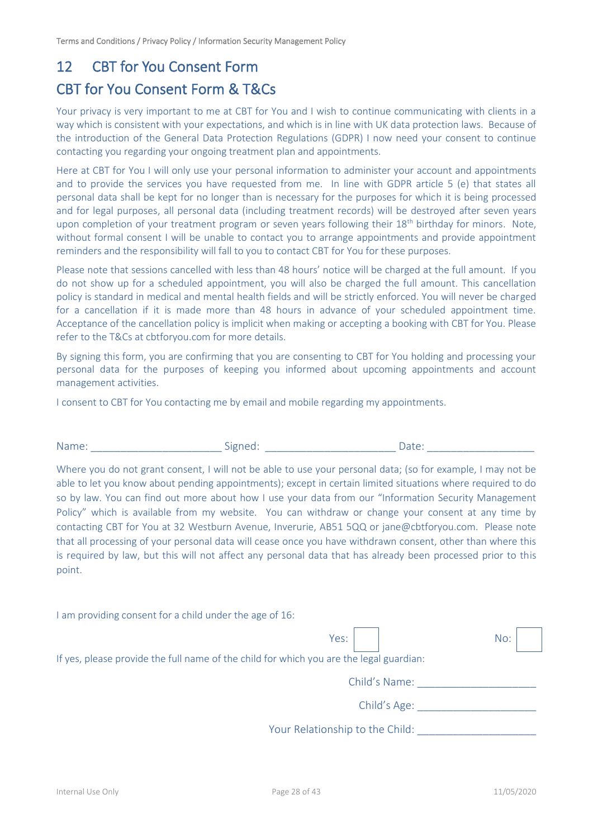## <span id="page-27-0"></span>12 CBT for You Consent Form

## CBT for You Consent Form & T&Cs

Your privacy is very important to me at CBT for You and I wish to continue communicating with clients in a way which is consistent with your expectations, and which is in line with UK data protection laws. Because of the introduction of the General Data Protection Regulations (GDPR) I now need your consent to continue contacting you regarding your ongoing treatment plan and appointments.

Here at CBT for You I will only use your personal information to administer your account and appointments and to provide the services you have requested from me. In line with GDPR article 5 (e) that states all personal data shall be kept for no longer than is necessary for the purposes for which it is being processed and for legal purposes, all personal data (including treatment records) will be destroyed after seven years upon completion of your treatment program or seven years following their 18<sup>th</sup> birthday for minors. Note, without formal consent I will be unable to contact you to arrange appointments and provide appointment reminders and the responsibility will fall to you to contact CBT for You for these purposes.

Please note that sessions cancelled with less than 48 hours' notice will be charged at the full amount. If you do not show up for a scheduled appointment, you will also be charged the full amount. This cancellation policy is standard in medical and mental health fields and will be strictly enforced. You will never be charged for a cancellation if it is made more than 48 hours in advance of your scheduled appointment time. Acceptance of the cancellation policy is implicit when making or accepting a booking with CBT for You. Please refer to the T&Cs at cbtforyou.com for more details.

By signing this form, you are confirming that you are consenting to CBT for You holding and processing your personal data for the purposes of keeping you informed about upcoming appointments and account management activities.

I consent to CBT for You contacting me by email and mobile regarding my appointments.

| Name: | -<br><b><i>Claramento</i></b><br>د ا<br>שור | $- - -$<br>yall. |  |
|-------|---------------------------------------------|------------------|--|
|-------|---------------------------------------------|------------------|--|

Where you do not grant consent. I will not be able to use your personal data; (so for example, I may not be able to let you know about pending appointments); except in certain limited situations where required to do so by law. You can find out more about how I use your data from our "Information Security Management Policy" which is available from my website. You can withdraw or change your consent at any time by contacting CBT for You at 32 Westburn Avenue, Inverurie, AB51 5QQ or jane@cbtforyou.com. Please note that all processing of your personal data will cease once you have withdrawn consent, other than where this is required by law, but this will not affect any personal data that has already been processed prior to this point.

| I am providing consent for a child under the age of 16:                                 |     |  |  |  |  |
|-----------------------------------------------------------------------------------------|-----|--|--|--|--|
| Yes:                                                                                    | No: |  |  |  |  |
| If yes, please provide the full name of the child for which you are the legal guardian: |     |  |  |  |  |
| Child's Name:                                                                           |     |  |  |  |  |
| Child's Age:                                                                            |     |  |  |  |  |
| Your Relationship to the Child:                                                         |     |  |  |  |  |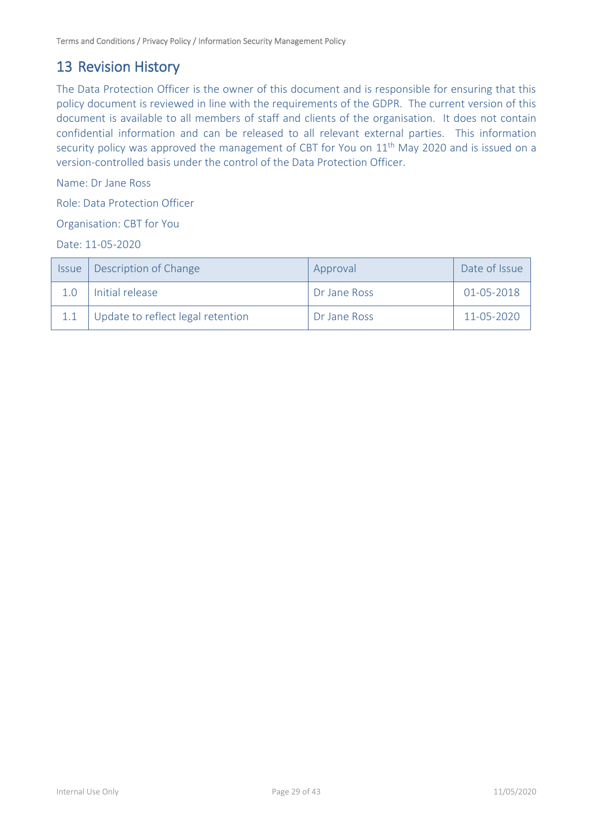## <span id="page-28-0"></span>13 Revision History

The Data Protection Officer is the owner of this document and is responsible for ensuring that this policy document is reviewed in line with the requirements of the GDPR. The current version of this document is available to all members of staff and clients of the organisation. It does not contain confidential information and can be released to all relevant external parties. This information security policy was approved the management of CBT for You on 11<sup>th</sup> May 2020 and is issued on a version-controlled basis under the control of the Data Protection Officer.

Name: Dr Jane Ross

Role: Data Protection Officer

Organisation: CBT for You

Date: 11-05-2020

| <b>Issue</b> | Description of Change             | Approval     | Date of Issue |
|--------------|-----------------------------------|--------------|---------------|
|              | Initial release                   | Dr Jane Ross | 01-05-2018    |
|              | Update to reflect legal retention | Dr Jane Ross | 11-05-2020    |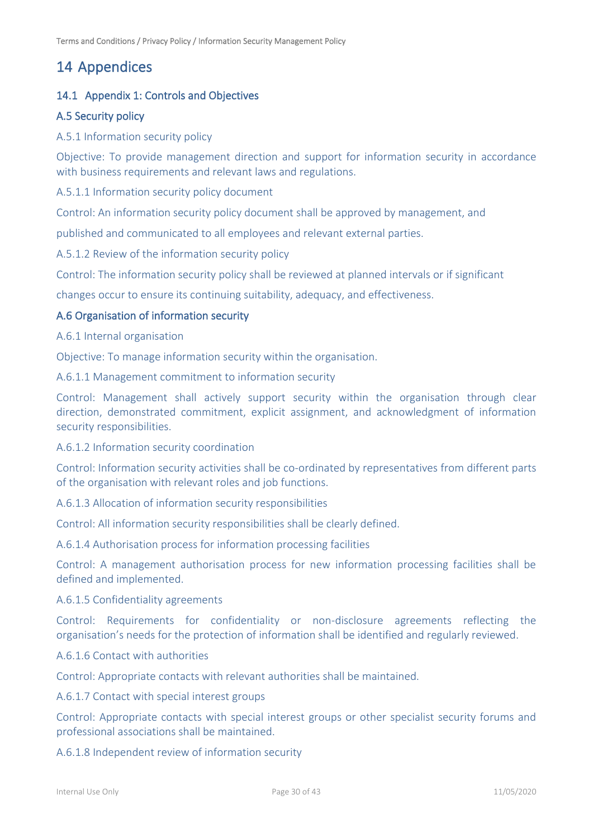## <span id="page-29-0"></span>14 Appendices

## <span id="page-29-1"></span>14.1 Appendix 1: Controls and Objectives

## A.5 Security policy

### A.5.1 Information security policy

Objective: To provide management direction and support for information security in accordance with business requirements and relevant laws and regulations.

A.5.1.1 Information security policy document

Control: An information security policy document shall be approved by management, and

published and communicated to all employees and relevant external parties.

A.5.1.2 Review of the information security policy

Control: The information security policy shall be reviewed at planned intervals or if significant

changes occur to ensure its continuing suitability, adequacy, and effectiveness.

#### A.6 Organisation of information security

A.6.1 Internal organisation

Objective: To manage information security within the organisation.

A.6.1.1 Management commitment to information security

Control: Management shall actively support security within the organisation through clear direction, demonstrated commitment, explicit assignment, and acknowledgment of information security responsibilities.

#### A.6.1.2 Information security coordination

Control: Information security activities shall be co-ordinated by representatives from different parts of the organisation with relevant roles and job functions.

A.6.1.3 Allocation of information security responsibilities

Control: All information security responsibilities shall be clearly defined.

A.6.1.4 Authorisation process for information processing facilities

Control: A management authorisation process for new information processing facilities shall be defined and implemented.

A.6.1.5 Confidentiality agreements

Control: Requirements for confidentiality or non-disclosure agreements reflecting the organisation's needs for the protection of information shall be identified and regularly reviewed.

#### A.6.1.6 Contact with authorities

Control: Appropriate contacts with relevant authorities shall be maintained.

A.6.1.7 Contact with special interest groups

Control: Appropriate contacts with special interest groups or other specialist security forums and professional associations shall be maintained.

A.6.1.8 Independent review of information security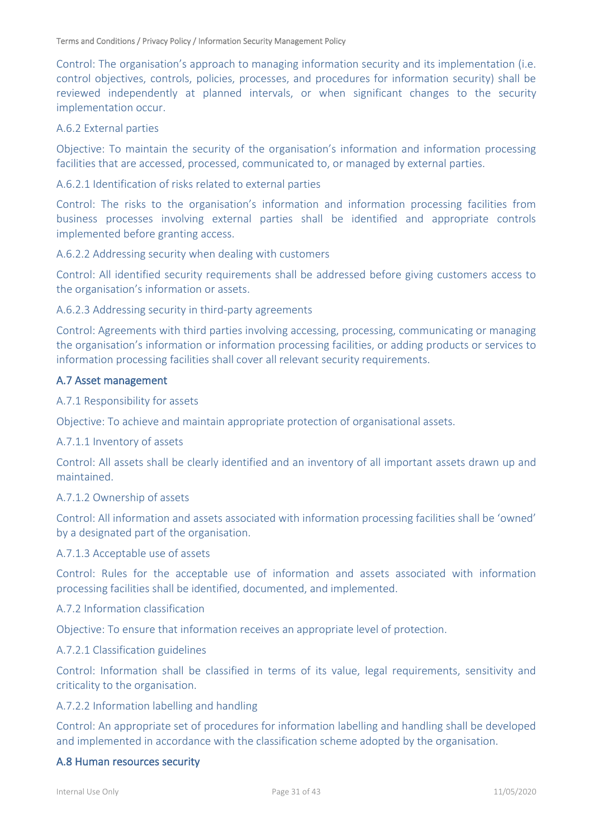Control: The organisation's approach to managing information security and its implementation (i.e. control objectives, controls, policies, processes, and procedures for information security) shall be reviewed independently at planned intervals, or when significant changes to the security implementation occur.

#### A.6.2 External parties

Objective: To maintain the security of the organisation's information and information processing facilities that are accessed, processed, communicated to, or managed by external parties.

#### A.6.2.1 Identification of risks related to external parties

Control: The risks to the organisation's information and information processing facilities from business processes involving external parties shall be identified and appropriate controls implemented before granting access.

#### A.6.2.2 Addressing security when dealing with customers

Control: All identified security requirements shall be addressed before giving customers access to the organisation's information or assets.

#### A.6.2.3 Addressing security in third-party agreements

Control: Agreements with third parties involving accessing, processing, communicating or managing the organisation's information or information processing facilities, or adding products or services to information processing facilities shall cover all relevant security requirements.

#### A.7 Asset management

#### A.7.1 Responsibility for assets

Objective: To achieve and maintain appropriate protection of organisational assets.

#### A.7.1.1 Inventory of assets

Control: All assets shall be clearly identified and an inventory of all important assets drawn up and maintained.

#### A.7.1.2 Ownership of assets

Control: All information and assets associated with information processing facilities shall be 'owned' by a designated part of the organisation.

#### A.7.1.3 Acceptable use of assets

Control: Rules for the acceptable use of information and assets associated with information processing facilities shall be identified, documented, and implemented.

#### A.7.2 Information classification

Objective: To ensure that information receives an appropriate level of protection.

#### A.7.2.1 Classification guidelines

Control: Information shall be classified in terms of its value, legal requirements, sensitivity and criticality to the organisation.

#### A.7.2.2 Information labelling and handling

Control: An appropriate set of procedures for information labelling and handling shall be developed and implemented in accordance with the classification scheme adopted by the organisation.

#### A.8 Human resources security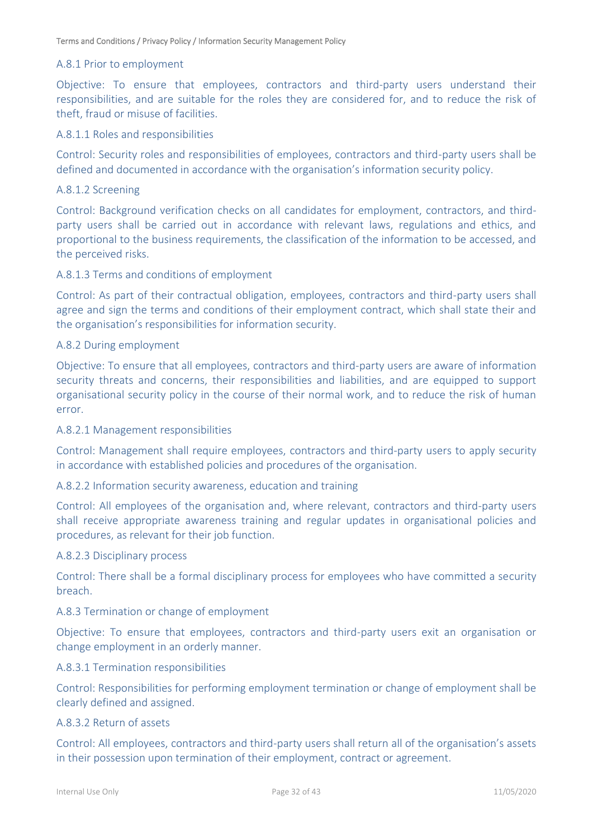#### A.8.1 Prior to employment

Objective: To ensure that employees, contractors and third-party users understand their responsibilities, and are suitable for the roles they are considered for, and to reduce the risk of theft, fraud or misuse of facilities.

#### A.8.1.1 Roles and responsibilities

Control: Security roles and responsibilities of employees, contractors and third-party users shall be defined and documented in accordance with the organisation's information security policy.

#### A.8.1.2 Screening

Control: Background verification checks on all candidates for employment, contractors, and thirdparty users shall be carried out in accordance with relevant laws, regulations and ethics, and proportional to the business requirements, the classification of the information to be accessed, and the perceived risks.

#### A.8.1.3 Terms and conditions of employment

Control: As part of their contractual obligation, employees, contractors and third-party users shall agree and sign the terms and conditions of their employment contract, which shall state their and the organisation's responsibilities for information security.

#### A.8.2 During employment

Objective: To ensure that all employees, contractors and third-party users are aware of information security threats and concerns, their responsibilities and liabilities, and are equipped to support organisational security policy in the course of their normal work, and to reduce the risk of human error.

#### A.8.2.1 Management responsibilities

Control: Management shall require employees, contractors and third-party users to apply security in accordance with established policies and procedures of the organisation.

#### A.8.2.2 Information security awareness, education and training

Control: All employees of the organisation and, where relevant, contractors and third-party users shall receive appropriate awareness training and regular updates in organisational policies and procedures, as relevant for their job function.

#### A.8.2.3 Disciplinary process

Control: There shall be a formal disciplinary process for employees who have committed a security breach.

#### A.8.3 Termination or change of employment

Objective: To ensure that employees, contractors and third-party users exit an organisation or change employment in an orderly manner.

#### A.8.3.1 Termination responsibilities

Control: Responsibilities for performing employment termination or change of employment shall be clearly defined and assigned.

#### A.8.3.2 Return of assets

Control: All employees, contractors and third-party users shall return all of the organisation's assets in their possession upon termination of their employment, contract or agreement.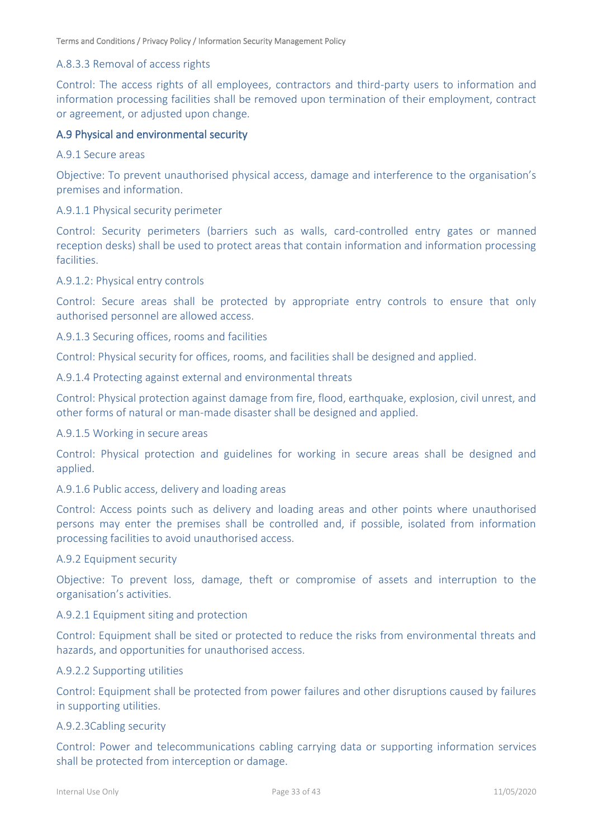#### A.8.3.3 Removal of access rights

Control: The access rights of all employees, contractors and third-party users to information and information processing facilities shall be removed upon termination of their employment, contract or agreement, or adjusted upon change.

#### A.9 Physical and environmental security

#### A.9.1 Secure areas

Objective: To prevent unauthorised physical access, damage and interference to the organisation's premises and information.

#### A.9.1.1 Physical security perimeter

Control: Security perimeters (barriers such as walls, card-controlled entry gates or manned reception desks) shall be used to protect areas that contain information and information processing facilities.

#### A.9.1.2: Physical entry controls

Control: Secure areas shall be protected by appropriate entry controls to ensure that only authorised personnel are allowed access.

#### A.9.1.3 Securing offices, rooms and facilities

Control: Physical security for offices, rooms, and facilities shall be designed and applied.

#### A.9.1.4 Protecting against external and environmental threats

Control: Physical protection against damage from fire, flood, earthquake, explosion, civil unrest, and other forms of natural or man-made disaster shall be designed and applied.

#### A.9.1.5 Working in secure areas

Control: Physical protection and guidelines for working in secure areas shall be designed and applied.

#### A.9.1.6 Public access, delivery and loading areas

Control: Access points such as delivery and loading areas and other points where unauthorised persons may enter the premises shall be controlled and, if possible, isolated from information processing facilities to avoid unauthorised access.

#### A.9.2 Equipment security

Objective: To prevent loss, damage, theft or compromise of assets and interruption to the organisation's activities.

#### A.9.2.1 Equipment siting and protection

Control: Equipment shall be sited or protected to reduce the risks from environmental threats and hazards, and opportunities for unauthorised access.

#### A.9.2.2 Supporting utilities

Control: Equipment shall be protected from power failures and other disruptions caused by failures in supporting utilities.

#### A.9.2.3Cabling security

Control: Power and telecommunications cabling carrying data or supporting information services shall be protected from interception or damage.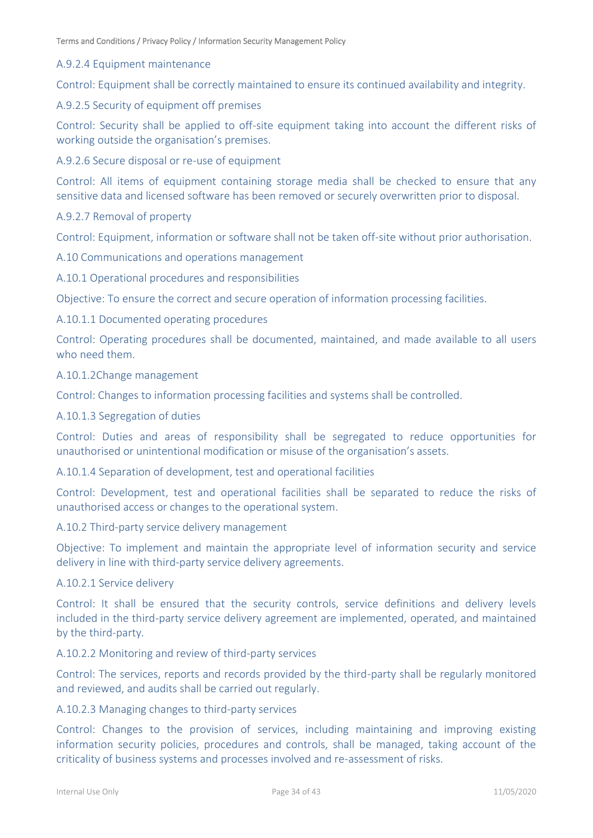#### A.9.2.4 Equipment maintenance

Control: Equipment shall be correctly maintained to ensure its continued availability and integrity.

#### A.9.2.5 Security of equipment off premises

Control: Security shall be applied to off-site equipment taking into account the different risks of working outside the organisation's premises.

A.9.2.6 Secure disposal or re-use of equipment

Control: All items of equipment containing storage media shall be checked to ensure that any sensitive data and licensed software has been removed or securely overwritten prior to disposal.

#### A.9.2.7 Removal of property

Control: Equipment, information or software shall not be taken off-site without prior authorisation.

A.10 Communications and operations management

A.10.1 Operational procedures and responsibilities

Objective: To ensure the correct and secure operation of information processing facilities.

A.10.1.1 Documented operating procedures

Control: Operating procedures shall be documented, maintained, and made available to all users who need them.

#### A.10.1.2Change management

Control: Changes to information processing facilities and systems shall be controlled.

#### A.10.1.3 Segregation of duties

Control: Duties and areas of responsibility shall be segregated to reduce opportunities for unauthorised or unintentional modification or misuse of the organisation's assets.

A.10.1.4 Separation of development, test and operational facilities

Control: Development, test and operational facilities shall be separated to reduce the risks of unauthorised access or changes to the operational system.

#### A.10.2 Third-party service delivery management

Objective: To implement and maintain the appropriate level of information security and service delivery in line with third-party service delivery agreements.

#### A.10.2.1 Service delivery

Control: It shall be ensured that the security controls, service definitions and delivery levels included in the third-party service delivery agreement are implemented, operated, and maintained by the third-party.

#### A.10.2.2 Monitoring and review of third-party services

Control: The services, reports and records provided by the third-party shall be regularly monitored and reviewed, and audits shall be carried out regularly.

#### A.10.2.3 Managing changes to third-party services

Control: Changes to the provision of services, including maintaining and improving existing information security policies, procedures and controls, shall be managed, taking account of the criticality of business systems and processes involved and re-assessment of risks.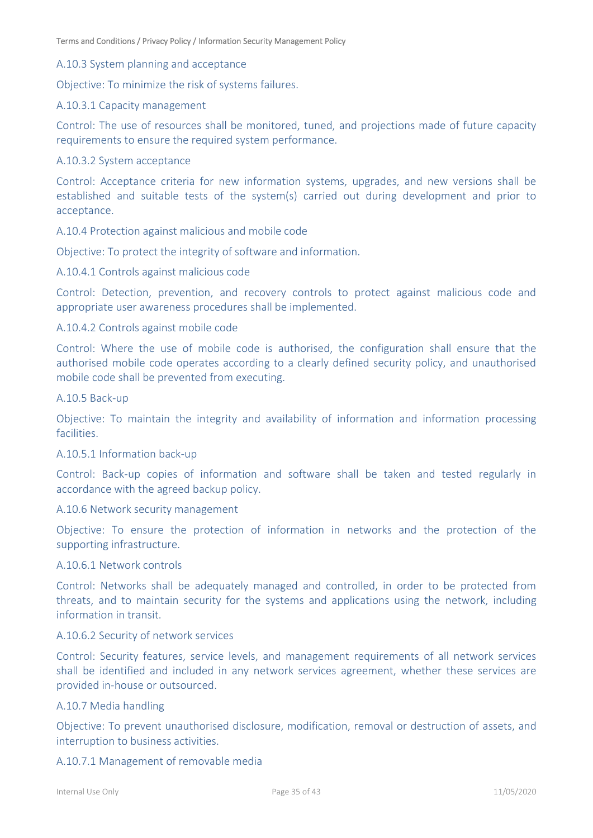#### A.10.3 System planning and acceptance

Objective: To minimize the risk of systems failures.

#### A.10.3.1 Capacity management

Control: The use of resources shall be monitored, tuned, and projections made of future capacity requirements to ensure the required system performance.

#### A.10.3.2 System acceptance

Control: Acceptance criteria for new information systems, upgrades, and new versions shall be established and suitable tests of the system(s) carried out during development and prior to acceptance.

#### A.10.4 Protection against malicious and mobile code

Objective: To protect the integrity of software and information.

#### A.10.4.1 Controls against malicious code

Control: Detection, prevention, and recovery controls to protect against malicious code and appropriate user awareness procedures shall be implemented.

#### A.10.4.2 Controls against mobile code

Control: Where the use of mobile code is authorised, the configuration shall ensure that the authorised mobile code operates according to a clearly defined security policy, and unauthorised mobile code shall be prevented from executing.

#### A.10.5 Back-up

Objective: To maintain the integrity and availability of information and information processing facilities.

#### A.10.5.1 Information back-up

Control: Back-up copies of information and software shall be taken and tested regularly in accordance with the agreed backup policy.

#### A.10.6 Network security management

Objective: To ensure the protection of information in networks and the protection of the supporting infrastructure.

#### A.10.6.1 Network controls

Control: Networks shall be adequately managed and controlled, in order to be protected from threats, and to maintain security for the systems and applications using the network, including information in transit.

#### A.10.6.2 Security of network services

Control: Security features, service levels, and management requirements of all network services shall be identified and included in any network services agreement, whether these services are provided in-house or outsourced.

#### A.10.7 Media handling

Objective: To prevent unauthorised disclosure, modification, removal or destruction of assets, and interruption to business activities.

#### A.10.7.1 Management of removable media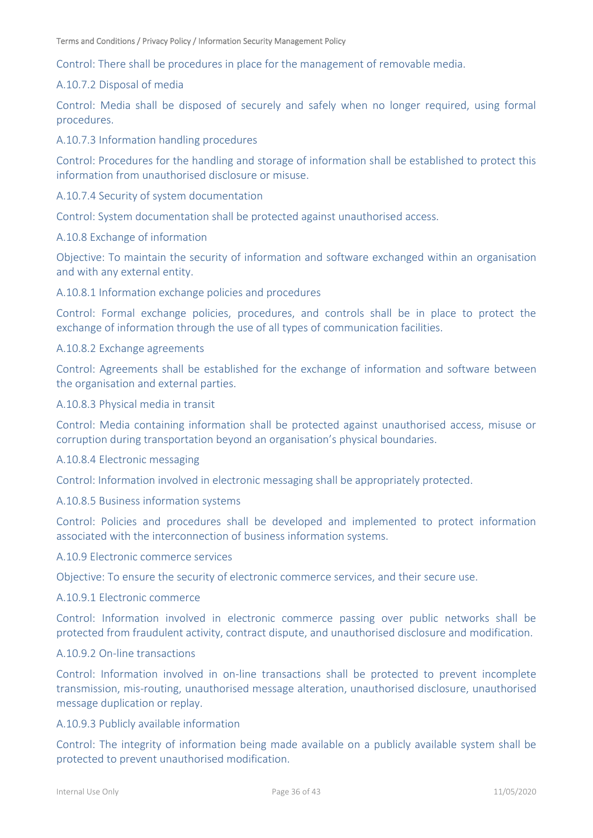Control: There shall be procedures in place for the management of removable media.

#### A.10.7.2 Disposal of media

Control: Media shall be disposed of securely and safely when no longer required, using formal procedures.

A.10.7.3 Information handling procedures

Control: Procedures for the handling and storage of information shall be established to protect this information from unauthorised disclosure or misuse.

#### A.10.7.4 Security of system documentation

Control: System documentation shall be protected against unauthorised access.

#### A.10.8 Exchange of information

Objective: To maintain the security of information and software exchanged within an organisation and with any external entity.

#### A.10.8.1 Information exchange policies and procedures

Control: Formal exchange policies, procedures, and controls shall be in place to protect the exchange of information through the use of all types of communication facilities.

#### A.10.8.2 Exchange agreements

Control: Agreements shall be established for the exchange of information and software between the organisation and external parties.

#### A.10.8.3 Physical media in transit

Control: Media containing information shall be protected against unauthorised access, misuse or corruption during transportation beyond an organisation's physical boundaries.

#### A.10.8.4 Electronic messaging

Control: Information involved in electronic messaging shall be appropriately protected.

#### A.10.8.5 Business information systems

Control: Policies and procedures shall be developed and implemented to protect information associated with the interconnection of business information systems.

#### A.10.9 Electronic commerce services

Objective: To ensure the security of electronic commerce services, and their secure use.

#### A.10.9.1 Electronic commerce

Control: Information involved in electronic commerce passing over public networks shall be protected from fraudulent activity, contract dispute, and unauthorised disclosure and modification.

### A.10.9.2 On-line transactions

Control: Information involved in on-line transactions shall be protected to prevent incomplete transmission, mis-routing, unauthorised message alteration, unauthorised disclosure, unauthorised message duplication or replay.

#### A.10.9.3 Publicly available information

Control: The integrity of information being made available on a publicly available system shall be protected to prevent unauthorised modification.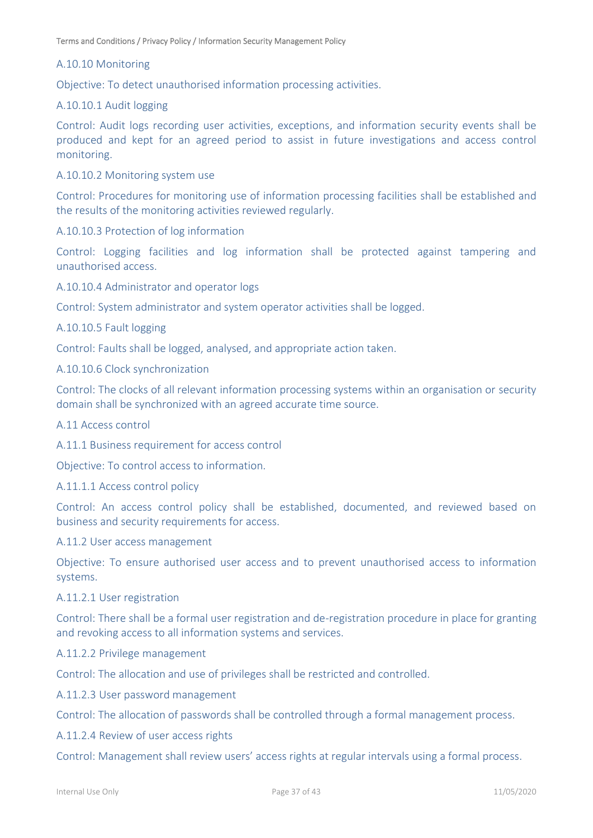#### A.10.10 Monitoring

Objective: To detect unauthorised information processing activities.

### A.10.10.1 Audit logging

Control: Audit logs recording user activities, exceptions, and information security events shall be produced and kept for an agreed period to assist in future investigations and access control monitoring.

A.10.10.2 Monitoring system use

Control: Procedures for monitoring use of information processing facilities shall be established and the results of the monitoring activities reviewed regularly.

A.10.10.3 Protection of log information

Control: Logging facilities and log information shall be protected against tampering and unauthorised access.

A.10.10.4 Administrator and operator logs

Control: System administrator and system operator activities shall be logged.

A.10.10.5 Fault logging

Control: Faults shall be logged, analysed, and appropriate action taken.

A.10.10.6 Clock synchronization

Control: The clocks of all relevant information processing systems within an organisation or security domain shall be synchronized with an agreed accurate time source.

A.11 Access control

A.11.1 Business requirement for access control

Objective: To control access to information.

A.11.1.1 Access control policy

Control: An access control policy shall be established, documented, and reviewed based on business and security requirements for access.

A.11.2 User access management

Objective: To ensure authorised user access and to prevent unauthorised access to information systems.

#### A.11.2.1 User registration

Control: There shall be a formal user registration and de-registration procedure in place for granting and revoking access to all information systems and services.

A.11.2.2 Privilege management

Control: The allocation and use of privileges shall be restricted and controlled.

A.11.2.3 User password management

Control: The allocation of passwords shall be controlled through a formal management process.

A.11.2.4 Review of user access rights

Control: Management shall review users' access rights at regular intervals using a formal process.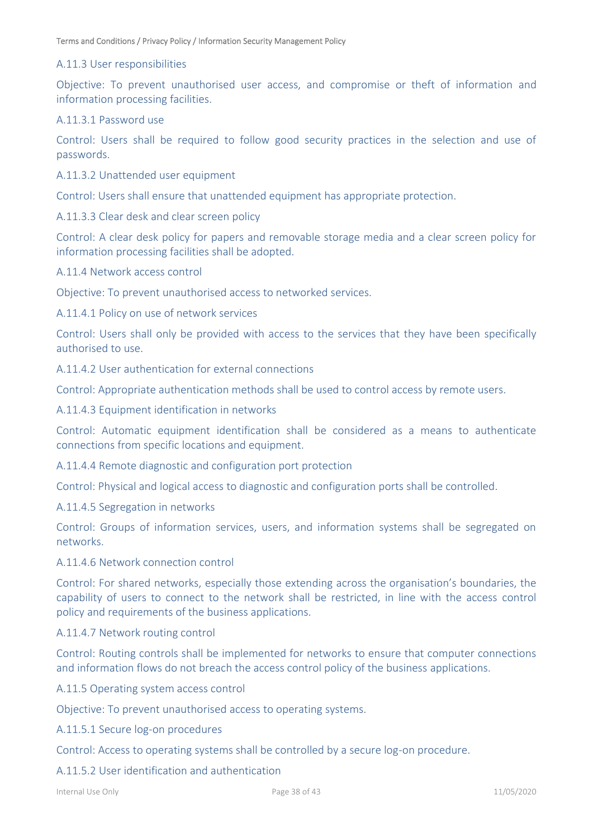#### A.11.3 User responsibilities

Objective: To prevent unauthorised user access, and compromise or theft of information and information processing facilities.

#### A.11.3.1 Password use

Control: Users shall be required to follow good security practices in the selection and use of passwords.

A.11.3.2 Unattended user equipment

Control: Users shall ensure that unattended equipment has appropriate protection.

A.11.3.3 Clear desk and clear screen policy

Control: A clear desk policy for papers and removable storage media and a clear screen policy for information processing facilities shall be adopted.

A.11.4 Network access control

Objective: To prevent unauthorised access to networked services.

A.11.4.1 Policy on use of network services

Control: Users shall only be provided with access to the services that they have been specifically authorised to use.

A.11.4.2 User authentication for external connections

Control: Appropriate authentication methods shall be used to control access by remote users.

A.11.4.3 Equipment identification in networks

Control: Automatic equipment identification shall be considered as a means to authenticate connections from specific locations and equipment.

A.11.4.4 Remote diagnostic and configuration port protection

Control: Physical and logical access to diagnostic and configuration ports shall be controlled.

A.11.4.5 Segregation in networks

Control: Groups of information services, users, and information systems shall be segregated on networks.

#### A.11.4.6 Network connection control

Control: For shared networks, especially those extending across the organisation's boundaries, the capability of users to connect to the network shall be restricted, in line with the access control policy and requirements of the business applications.

A.11.4.7 Network routing control

Control: Routing controls shall be implemented for networks to ensure that computer connections and information flows do not breach the access control policy of the business applications.

A.11.5 Operating system access control

Objective: To prevent unauthorised access to operating systems.

A.11.5.1 Secure log-on procedures

Control: Access to operating systems shall be controlled by a secure log-on procedure.

#### A.11.5.2 User identification and authentication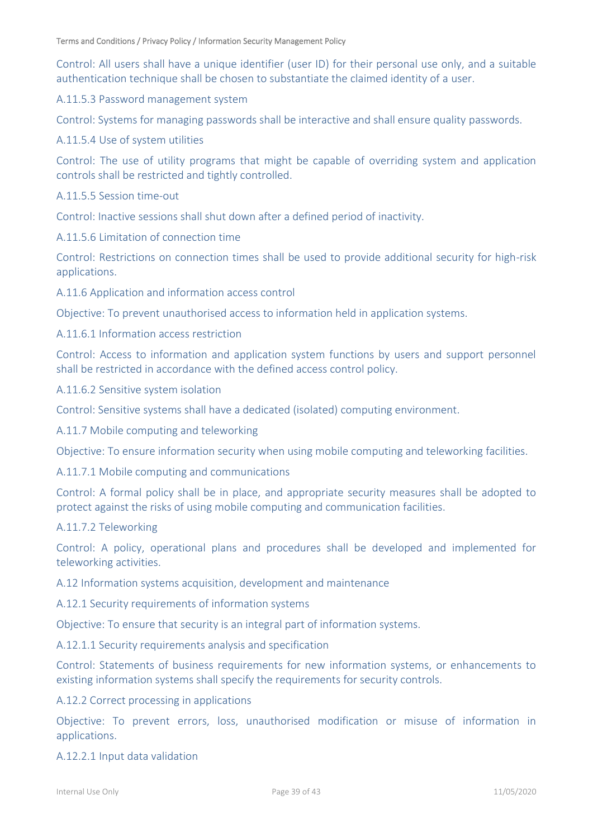Control: All users shall have a unique identifier (user ID) for their personal use only, and a suitable authentication technique shall be chosen to substantiate the claimed identity of a user.

A.11.5.3 Password management system

Control: Systems for managing passwords shall be interactive and shall ensure quality passwords.

A.11.5.4 Use of system utilities

Control: The use of utility programs that might be capable of overriding system and application controls shall be restricted and tightly controlled.

A.11.5.5 Session time-out

Control: Inactive sessions shall shut down after a defined period of inactivity.

A.11.5.6 Limitation of connection time

Control: Restrictions on connection times shall be used to provide additional security for high-risk applications.

A.11.6 Application and information access control

Objective: To prevent unauthorised access to information held in application systems.

A.11.6.1 Information access restriction

Control: Access to information and application system functions by users and support personnel shall be restricted in accordance with the defined access control policy.

A.11.6.2 Sensitive system isolation

Control: Sensitive systems shall have a dedicated (isolated) computing environment.

A.11.7 Mobile computing and teleworking

Objective: To ensure information security when using mobile computing and teleworking facilities.

A.11.7.1 Mobile computing and communications

Control: A formal policy shall be in place, and appropriate security measures shall be adopted to protect against the risks of using mobile computing and communication facilities.

#### A.11.7.2 Teleworking

Control: A policy, operational plans and procedures shall be developed and implemented for teleworking activities.

A.12 Information systems acquisition, development and maintenance

A.12.1 Security requirements of information systems

Objective: To ensure that security is an integral part of information systems.

A.12.1.1 Security requirements analysis and specification

Control: Statements of business requirements for new information systems, or enhancements to existing information systems shall specify the requirements for security controls.

#### A.12.2 Correct processing in applications

Objective: To prevent errors, loss, unauthorised modification or misuse of information in applications.

#### A.12.2.1 Input data validation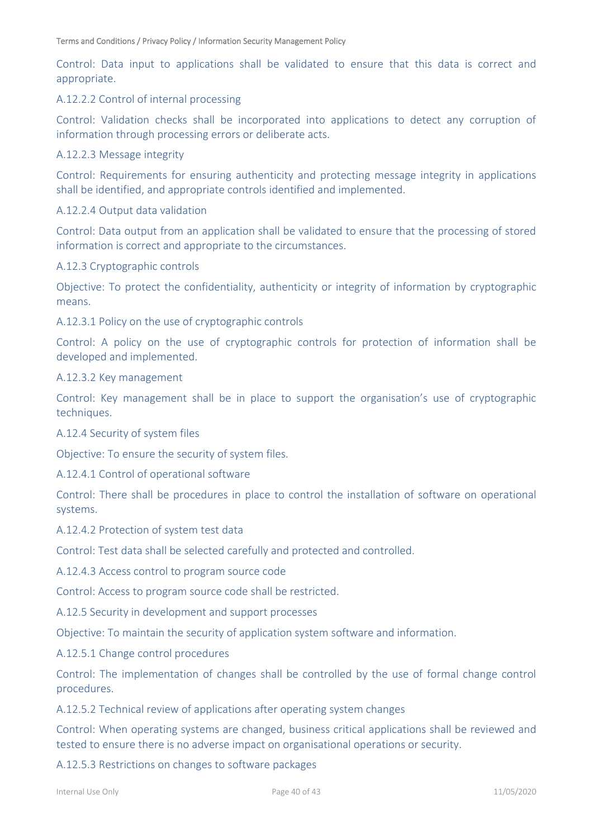Control: Data input to applications shall be validated to ensure that this data is correct and appropriate.

#### A.12.2.2 Control of internal processing

Control: Validation checks shall be incorporated into applications to detect any corruption of information through processing errors or deliberate acts.

#### A.12.2.3 Message integrity

Control: Requirements for ensuring authenticity and protecting message integrity in applications shall be identified, and appropriate controls identified and implemented.

#### A.12.2.4 Output data validation

Control: Data output from an application shall be validated to ensure that the processing of stored information is correct and appropriate to the circumstances.

#### A.12.3 Cryptographic controls

Objective: To protect the confidentiality, authenticity or integrity of information by cryptographic means.

A.12.3.1 Policy on the use of cryptographic controls

Control: A policy on the use of cryptographic controls for protection of information shall be developed and implemented.

#### A.12.3.2 Key management

Control: Key management shall be in place to support the organisation's use of cryptographic techniques.

#### A.12.4 Security of system files

Objective: To ensure the security of system files.

#### A.12.4.1 Control of operational software

Control: There shall be procedures in place to control the installation of software on operational systems.

A.12.4.2 Protection of system test data

Control: Test data shall be selected carefully and protected and controlled.

A.12.4.3 Access control to program source code

Control: Access to program source code shall be restricted.

A.12.5 Security in development and support processes

Objective: To maintain the security of application system software and information.

A.12.5.1 Change control procedures

Control: The implementation of changes shall be controlled by the use of formal change control procedures.

A.12.5.2 Technical review of applications after operating system changes

Control: When operating systems are changed, business critical applications shall be reviewed and tested to ensure there is no adverse impact on organisational operations or security.

A.12.5.3 Restrictions on changes to software packages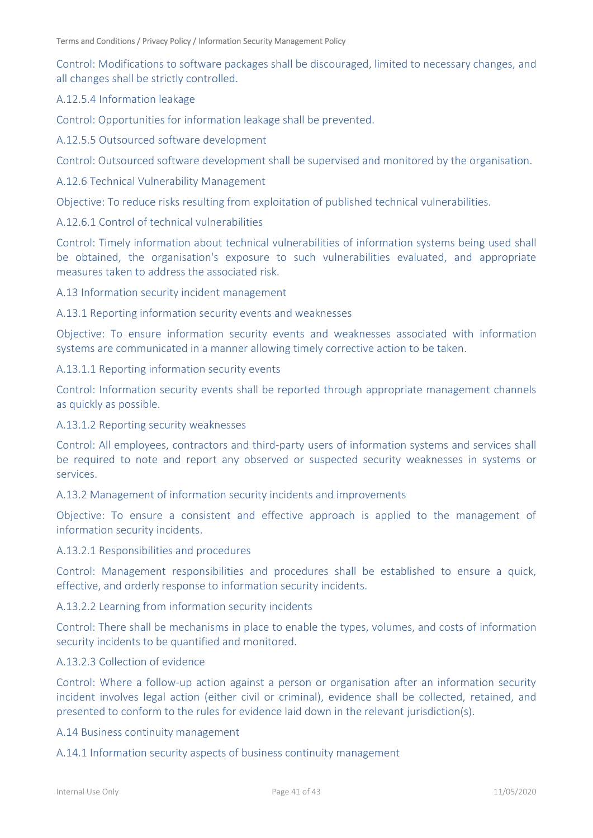Control: Modifications to software packages shall be discouraged, limited to necessary changes, and all changes shall be strictly controlled.

### A.12.5.4 Information leakage

Control: Opportunities for information leakage shall be prevented.

A.12.5.5 Outsourced software development

Control: Outsourced software development shall be supervised and monitored by the organisation.

A.12.6 Technical Vulnerability Management

Objective: To reduce risks resulting from exploitation of published technical vulnerabilities.

#### A.12.6.1 Control of technical vulnerabilities

Control: Timely information about technical vulnerabilities of information systems being used shall be obtained, the organisation's exposure to such vulnerabilities evaluated, and appropriate measures taken to address the associated risk.

A.13 Information security incident management

#### A.13.1 Reporting information security events and weaknesses

Objective: To ensure information security events and weaknesses associated with information systems are communicated in a manner allowing timely corrective action to be taken.

#### A.13.1.1 Reporting information security events

Control: Information security events shall be reported through appropriate management channels as quickly as possible.

#### A.13.1.2 Reporting security weaknesses

Control: All employees, contractors and third-party users of information systems and services shall be required to note and report any observed or suspected security weaknesses in systems or services.

A.13.2 Management of information security incidents and improvements

Objective: To ensure a consistent and effective approach is applied to the management of information security incidents.

#### A.13.2.1 Responsibilities and procedures

Control: Management responsibilities and procedures shall be established to ensure a quick, effective, and orderly response to information security incidents.

#### A.13.2.2 Learning from information security incidents

Control: There shall be mechanisms in place to enable the types, volumes, and costs of information security incidents to be quantified and monitored.

#### A.13.2.3 Collection of evidence

Control: Where a follow-up action against a person or organisation after an information security incident involves legal action (either civil or criminal), evidence shall be collected, retained, and presented to conform to the rules for evidence laid down in the relevant jurisdiction(s).

A.14 Business continuity management

A.14.1 Information security aspects of business continuity management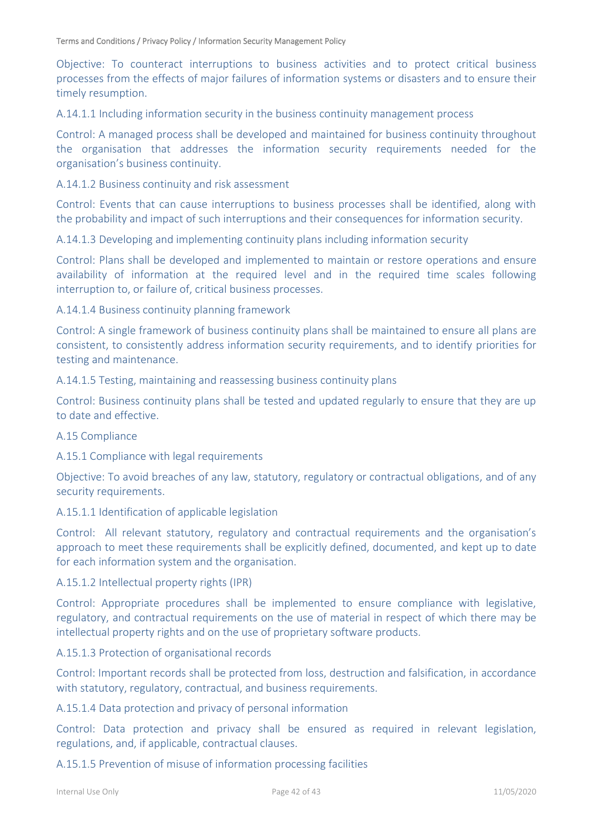Objective: To counteract interruptions to business activities and to protect critical business processes from the effects of major failures of information systems or disasters and to ensure their timely resumption.

A.14.1.1 Including information security in the business continuity management process

Control: A managed process shall be developed and maintained for business continuity throughout the organisation that addresses the information security requirements needed for the organisation's business continuity.

A.14.1.2 Business continuity and risk assessment

Control: Events that can cause interruptions to business processes shall be identified, along with the probability and impact of such interruptions and their consequences for information security.

A.14.1.3 Developing and implementing continuity plans including information security

Control: Plans shall be developed and implemented to maintain or restore operations and ensure availability of information at the required level and in the required time scales following interruption to, or failure of, critical business processes.

A.14.1.4 Business continuity planning framework

Control: A single framework of business continuity plans shall be maintained to ensure all plans are consistent, to consistently address information security requirements, and to identify priorities for testing and maintenance.

A.14.1.5 Testing, maintaining and reassessing business continuity plans

Control: Business continuity plans shall be tested and updated regularly to ensure that they are up to date and effective.

#### A.15 Compliance

A.15.1 Compliance with legal requirements

Objective: To avoid breaches of any law, statutory, regulatory or contractual obligations, and of any security requirements.

A.15.1.1 Identification of applicable legislation

Control: All relevant statutory, regulatory and contractual requirements and the organisation's approach to meet these requirements shall be explicitly defined, documented, and kept up to date for each information system and the organisation.

A.15.1.2 Intellectual property rights (IPR)

Control: Appropriate procedures shall be implemented to ensure compliance with legislative, regulatory, and contractual requirements on the use of material in respect of which there may be intellectual property rights and on the use of proprietary software products.

A.15.1.3 Protection of organisational records

Control: Important records shall be protected from loss, destruction and falsification, in accordance with statutory, regulatory, contractual, and business requirements.

A.15.1.4 Data protection and privacy of personal information

Control: Data protection and privacy shall be ensured as required in relevant legislation, regulations, and, if applicable, contractual clauses.

A.15.1.5 Prevention of misuse of information processing facilities